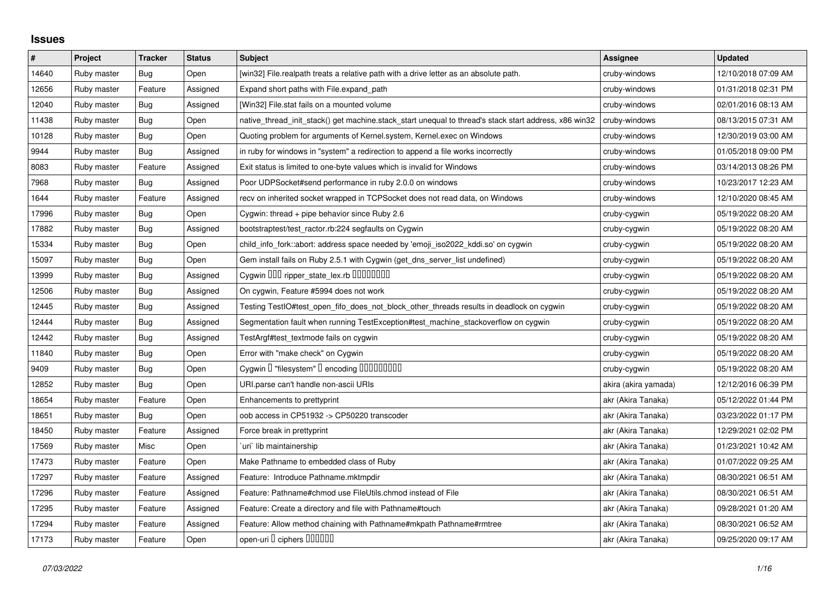## **Issues**

| $\#$  | Project     | <b>Tracker</b> | <b>Status</b> | <b>Subject</b>                                                                                        | Assignee             | <b>Updated</b>      |
|-------|-------------|----------------|---------------|-------------------------------------------------------------------------------------------------------|----------------------|---------------------|
| 14640 | Ruby master | Bug            | Open          | [win32] File.realpath treats a relative path with a drive letter as an absolute path.                 | cruby-windows        | 12/10/2018 07:09 AM |
| 12656 | Ruby master | Feature        | Assigned      | Expand short paths with File.expand_path                                                              | cruby-windows        | 01/31/2018 02:31 PM |
| 12040 | Ruby master | Bug            | Assigned      | [Win32] File.stat fails on a mounted volume                                                           | cruby-windows        | 02/01/2016 08:13 AM |
| 11438 | Ruby master | <b>Bug</b>     | Open          | native thread init stack() get machine.stack start unequal to thread's stack start address, x86 win32 | cruby-windows        | 08/13/2015 07:31 AM |
| 10128 | Ruby master | Bug            | Open          | Quoting problem for arguments of Kernel.system, Kernel.exec on Windows                                | cruby-windows        | 12/30/2019 03:00 AM |
| 9944  | Ruby master | <b>Bug</b>     | Assigned      | in ruby for windows in "system" a redirection to append a file works incorrectly                      | cruby-windows        | 01/05/2018 09:00 PM |
| 8083  | Ruby master | Feature        | Assigned      | Exit status is limited to one-byte values which is invalid for Windows                                | cruby-windows        | 03/14/2013 08:26 PM |
| 7968  | Ruby master | <b>Bug</b>     | Assigned      | Poor UDPSocket#send performance in ruby 2.0.0 on windows                                              | cruby-windows        | 10/23/2017 12:23 AM |
| 1644  | Ruby master | Feature        | Assigned      | recv on inherited socket wrapped in TCPSocket does not read data, on Windows                          | cruby-windows        | 12/10/2020 08:45 AM |
| 17996 | Ruby master | <b>Bug</b>     | Open          | Cygwin: thread $+$ pipe behavior since Ruby 2.6                                                       | cruby-cygwin         | 05/19/2022 08:20 AM |
| 17882 | Ruby master | Bug            | Assigned      | bootstraptest/test_ractor.rb:224 segfaults on Cygwin                                                  | cruby-cygwin         | 05/19/2022 08:20 AM |
| 15334 | Ruby master | <b>Bug</b>     | Open          | child info fork::abort: address space needed by 'emoji iso2022 kddi.so' on cygwin                     | cruby-cygwin         | 05/19/2022 08:20 AM |
| 15097 | Ruby master | Bug            | Open          | Gem install fails on Ruby 2.5.1 with Cygwin (get_dns_server_list undefined)                           | cruby-cygwin         | 05/19/2022 08:20 AM |
| 13999 | Ruby master | Bug            | Assigned      | Cygwin 000 ripper_state_lex.rb 0000000                                                                | cruby-cygwin         | 05/19/2022 08:20 AM |
| 12506 | Ruby master | <b>Bug</b>     | Assigned      | On cygwin, Feature #5994 does not work                                                                | cruby-cygwin         | 05/19/2022 08:20 AM |
| 12445 | Ruby master | Bug            | Assigned      | Testing TestIO#test_open_fifo_does_not_block_other_threads results in deadlock on cygwin              | cruby-cygwin         | 05/19/2022 08:20 AM |
| 12444 | Ruby master | Bug            | Assigned      | Segmentation fault when running TestException#test_machine_stackoverflow on cygwin                    | cruby-cygwin         | 05/19/2022 08:20 AM |
| 12442 | Ruby master | Bug            | Assigned      | TestArgf#test_textmode fails on cygwin                                                                | cruby-cygwin         | 05/19/2022 08:20 AM |
| 11840 | Ruby master | <b>Bug</b>     | Open          | Error with "make check" on Cygwin                                                                     | cruby-cygwin         | 05/19/2022 08:20 AM |
| 9409  | Ruby master | Bug            | Open          | Cygwin I "filesystem" I encoding IIIIIIIIIIII                                                         | cruby-cygwin         | 05/19/2022 08:20 AM |
| 12852 | Ruby master | <b>Bug</b>     | Open          | URI.parse can't handle non-ascii URIs                                                                 | akira (akira yamada) | 12/12/2016 06:39 PM |
| 18654 | Ruby master | Feature        | Open          | Enhancements to prettyprint                                                                           | akr (Akira Tanaka)   | 05/12/2022 01:44 PM |
| 18651 | Ruby master | Bug            | Open          | oob access in CP51932 -> CP50220 transcoder                                                           | akr (Akira Tanaka)   | 03/23/2022 01:17 PM |
| 18450 | Ruby master | Feature        | Assigned      | Force break in prettyprint                                                                            | akr (Akira Tanaka)   | 12/29/2021 02:02 PM |
| 17569 | Ruby master | Misc           | Open          | uri` lib maintainership                                                                               | akr (Akira Tanaka)   | 01/23/2021 10:42 AM |
| 17473 | Ruby master | Feature        | Open          | Make Pathname to embedded class of Ruby                                                               | akr (Akira Tanaka)   | 01/07/2022 09:25 AM |
| 17297 | Ruby master | Feature        | Assigned      | Feature: Introduce Pathname.mktmpdir                                                                  | akr (Akira Tanaka)   | 08/30/2021 06:51 AM |
| 17296 | Ruby master | Feature        | Assigned      | Feature: Pathname#chmod use FileUtils.chmod instead of File                                           | akr (Akira Tanaka)   | 08/30/2021 06:51 AM |
| 17295 | Ruby master | Feature        | Assigned      | Feature: Create a directory and file with Pathname#touch                                              | akr (Akira Tanaka)   | 09/28/2021 01:20 AM |
| 17294 | Ruby master | Feature        | Assigned      | Feature: Allow method chaining with Pathname#mkpath Pathname#rmtree                                   | akr (Akira Tanaka)   | 08/30/2021 06:52 AM |
| 17173 | Ruby master | Feature        | Open          | open-uri I ciphers IIIIIII                                                                            | akr (Akira Tanaka)   | 09/25/2020 09:17 AM |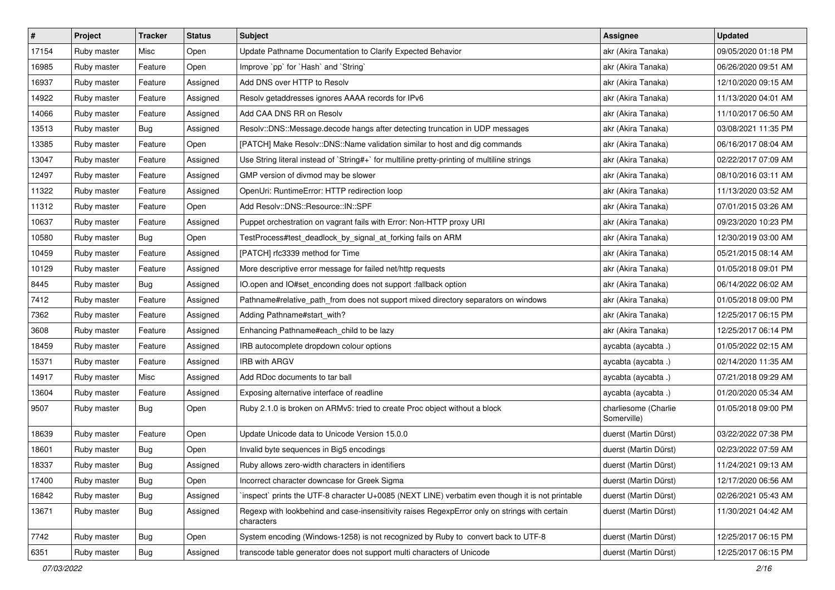| #     | Project     | <b>Tracker</b> | <b>Status</b> | <b>Subject</b>                                                                                              | <b>Assignee</b>                     | <b>Updated</b>      |
|-------|-------------|----------------|---------------|-------------------------------------------------------------------------------------------------------------|-------------------------------------|---------------------|
| 17154 | Ruby master | Misc           | Open          | Update Pathname Documentation to Clarify Expected Behavior                                                  | akr (Akira Tanaka)                  | 09/05/2020 01:18 PM |
| 16985 | Ruby master | Feature        | Open          | Improve `pp` for `Hash` and `String`                                                                        | akr (Akira Tanaka)                  | 06/26/2020 09:51 AM |
| 16937 | Ruby master | Feature        | Assigned      | Add DNS over HTTP to Resolv                                                                                 | akr (Akira Tanaka)                  | 12/10/2020 09:15 AM |
| 14922 | Ruby master | Feature        | Assigned      | Resolv getaddresses ignores AAAA records for IPv6                                                           | akr (Akira Tanaka)                  | 11/13/2020 04:01 AM |
| 14066 | Ruby master | Feature        | Assigned      | Add CAA DNS RR on Resolv                                                                                    | akr (Akira Tanaka)                  | 11/10/2017 06:50 AM |
| 13513 | Ruby master | Bug            | Assigned      | Resolv::DNS::Message.decode hangs after detecting truncation in UDP messages                                | akr (Akira Tanaka)                  | 03/08/2021 11:35 PM |
| 13385 | Ruby master | Feature        | Open          | [PATCH] Make Resolv::DNS::Name validation similar to host and dig commands                                  | akr (Akira Tanaka)                  | 06/16/2017 08:04 AM |
| 13047 | Ruby master | Feature        | Assigned      | Use String literal instead of `String#+` for multiline pretty-printing of multiline strings                 | akr (Akira Tanaka)                  | 02/22/2017 07:09 AM |
| 12497 | Ruby master | Feature        | Assigned      | GMP version of divmod may be slower                                                                         | akr (Akira Tanaka)                  | 08/10/2016 03:11 AM |
| 11322 | Ruby master | Feature        | Assigned      | OpenUri: RuntimeError: HTTP redirection loop                                                                | akr (Akira Tanaka)                  | 11/13/2020 03:52 AM |
| 11312 | Ruby master | Feature        | Open          | Add Resolv::DNS::Resource::IN::SPF                                                                          | akr (Akira Tanaka)                  | 07/01/2015 03:26 AM |
| 10637 | Ruby master | Feature        | Assigned      | Puppet orchestration on vagrant fails with Error: Non-HTTP proxy URI                                        | akr (Akira Tanaka)                  | 09/23/2020 10:23 PM |
| 10580 | Ruby master | Bug            | Open          | TestProcess#test_deadlock_by_signal_at_forking fails on ARM                                                 | akr (Akira Tanaka)                  | 12/30/2019 03:00 AM |
| 10459 | Ruby master | Feature        | Assigned      | [PATCH] rfc3339 method for Time                                                                             | akr (Akira Tanaka)                  | 05/21/2015 08:14 AM |
| 10129 | Ruby master | Feature        | Assigned      | More descriptive error message for failed net/http requests                                                 | akr (Akira Tanaka)                  | 01/05/2018 09:01 PM |
| 8445  | Ruby master | Bug            | Assigned      | IO.open and IO#set_enconding does not support :fallback option                                              | akr (Akira Tanaka)                  | 06/14/2022 06:02 AM |
| 7412  | Ruby master | Feature        | Assigned      | Pathname#relative_path_from does not support mixed directory separators on windows                          | akr (Akira Tanaka)                  | 01/05/2018 09:00 PM |
| 7362  | Ruby master | Feature        | Assigned      | Adding Pathname#start_with?                                                                                 | akr (Akira Tanaka)                  | 12/25/2017 06:15 PM |
| 3608  | Ruby master | Feature        | Assigned      | Enhancing Pathname#each_child to be lazy                                                                    | akr (Akira Tanaka)                  | 12/25/2017 06:14 PM |
| 18459 | Ruby master | Feature        | Assigned      | IRB autocomplete dropdown colour options                                                                    | aycabta (aycabta.)                  | 01/05/2022 02:15 AM |
| 15371 | Ruby master | Feature        | Assigned      | <b>IRB with ARGV</b>                                                                                        | aycabta (aycabta .)                 | 02/14/2020 11:35 AM |
| 14917 | Ruby master | Misc           | Assigned      | Add RDoc documents to tar ball                                                                              | aycabta (aycabta .)                 | 07/21/2018 09:29 AM |
| 13604 | Ruby master | Feature        | Assigned      | Exposing alternative interface of readline                                                                  | aycabta (aycabta.)                  | 01/20/2020 05:34 AM |
| 9507  | Ruby master | Bug            | Open          | Ruby 2.1.0 is broken on ARMv5: tried to create Proc object without a block                                  | charliesome (Charlie<br>Somerville) | 01/05/2018 09:00 PM |
| 18639 | Ruby master | Feature        | Open          | Update Unicode data to Unicode Version 15.0.0                                                               | duerst (Martin Dürst)               | 03/22/2022 07:38 PM |
| 18601 | Ruby master | Bug            | Open          | Invalid byte sequences in Big5 encodings                                                                    | duerst (Martin Dürst)               | 02/23/2022 07:59 AM |
| 18337 | Ruby master | <b>Bug</b>     | Assigned      | Ruby allows zero-width characters in identifiers                                                            | duerst (Martin Dürst)               | 11/24/2021 09:13 AM |
| 17400 | Ruby master | <b>Bug</b>     | Open          | Incorrect character downcase for Greek Sigma                                                                | duerst (Martin Dürst)               | 12/17/2020 06:56 AM |
| 16842 | Ruby master | Bug            | Assigned      | inspect` prints the UTF-8 character U+0085 (NEXT LINE) verbatim even though it is not printable             | duerst (Martin Dürst)               | 02/26/2021 05:43 AM |
| 13671 | Ruby master | <b>Bug</b>     | Assigned      | Regexp with lookbehind and case-insensitivity raises RegexpError only on strings with certain<br>characters | duerst (Martin Dürst)               | 11/30/2021 04:42 AM |
| 7742  | Ruby master | <b>Bug</b>     | Open          | System encoding (Windows-1258) is not recognized by Ruby to convert back to UTF-8                           | duerst (Martin Dürst)               | 12/25/2017 06:15 PM |
| 6351  | Ruby master | <b>Bug</b>     | Assigned      | transcode table generator does not support multi characters of Unicode                                      | duerst (Martin Dürst)               | 12/25/2017 06:15 PM |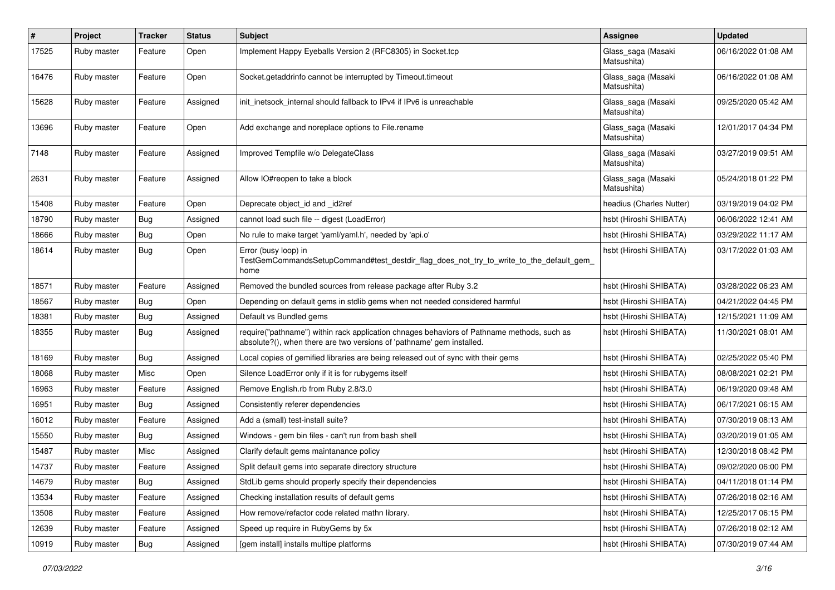| #     | Project     | <b>Tracker</b> | <b>Status</b> | <b>Subject</b>                                                                                                                                                      | Assignee                          | <b>Updated</b>      |
|-------|-------------|----------------|---------------|---------------------------------------------------------------------------------------------------------------------------------------------------------------------|-----------------------------------|---------------------|
| 17525 | Ruby master | Feature        | Open          | Implement Happy Eyeballs Version 2 (RFC8305) in Socket.tcp                                                                                                          | Glass_saga (Masaki<br>Matsushita) | 06/16/2022 01:08 AM |
| 16476 | Ruby master | Feature        | Open          | Socket.getaddrinfo cannot be interrupted by Timeout.timeout                                                                                                         | Glass_saga (Masaki<br>Matsushita) | 06/16/2022 01:08 AM |
| 15628 | Ruby master | Feature        | Assigned      | init inetsock internal should fallback to IPv4 if IPv6 is unreachable                                                                                               | Glass_saga (Masaki<br>Matsushita) | 09/25/2020 05:42 AM |
| 13696 | Ruby master | Feature        | Open          | Add exchange and noreplace options to File.rename                                                                                                                   | Glass_saga (Masaki<br>Matsushita) | 12/01/2017 04:34 PM |
| 7148  | Ruby master | Feature        | Assigned      | Improved Tempfile w/o DelegateClass                                                                                                                                 | Glass_saga (Masaki<br>Matsushita) | 03/27/2019 09:51 AM |
| 2631  | Ruby master | Feature        | Assigned      | Allow IO#reopen to take a block                                                                                                                                     | Glass_saga (Masaki<br>Matsushita) | 05/24/2018 01:22 PM |
| 15408 | Ruby master | Feature        | Open          | Deprecate object_id and _id2ref                                                                                                                                     | headius (Charles Nutter)          | 03/19/2019 04:02 PM |
| 18790 | Ruby master | Bug            | Assigned      | cannot load such file -- digest (LoadError)                                                                                                                         | hsbt (Hiroshi SHIBATA)            | 06/06/2022 12:41 AM |
| 18666 | Ruby master | Bug            | Open          | No rule to make target 'yaml/yaml.h', needed by 'api.o'                                                                                                             | hsbt (Hiroshi SHIBATA)            | 03/29/2022 11:17 AM |
| 18614 | Ruby master | Bug            | Open          | Error (busy loop) in<br>TestGemCommandsSetupCommand#test_destdir_flag_does_not_try_to_write_to_the_default_gem_<br>home                                             | hsbt (Hiroshi SHIBATA)            | 03/17/2022 01:03 AM |
| 18571 | Ruby master | Feature        | Assigned      | Removed the bundled sources from release package after Ruby 3.2                                                                                                     | hsbt (Hiroshi SHIBATA)            | 03/28/2022 06:23 AM |
| 18567 | Ruby master | Bug            | Open          | Depending on default gems in stdlib gems when not needed considered harmful                                                                                         | hsbt (Hiroshi SHIBATA)            | 04/21/2022 04:45 PM |
| 18381 | Ruby master | Bug            | Assigned      | Default vs Bundled gems                                                                                                                                             | hsbt (Hiroshi SHIBATA)            | 12/15/2021 11:09 AM |
| 18355 | Ruby master | Bug            | Assigned      | require("pathname") within rack application chnages behaviors of Pathname methods, such as<br>absolute?(), when there are two versions of 'pathname' gem installed. | hsbt (Hiroshi SHIBATA)            | 11/30/2021 08:01 AM |
| 18169 | Ruby master | Bug            | Assigned      | Local copies of gemified libraries are being released out of sync with their gems                                                                                   | hsbt (Hiroshi SHIBATA)            | 02/25/2022 05:40 PM |
| 18068 | Ruby master | Misc           | Open          | Silence LoadError only if it is for rubygems itself                                                                                                                 | hsbt (Hiroshi SHIBATA)            | 08/08/2021 02:21 PM |
| 16963 | Ruby master | Feature        | Assigned      | Remove English.rb from Ruby 2.8/3.0                                                                                                                                 | hsbt (Hiroshi SHIBATA)            | 06/19/2020 09:48 AM |
| 16951 | Ruby master | Bug            | Assigned      | Consistently referer dependencies                                                                                                                                   | hsbt (Hiroshi SHIBATA)            | 06/17/2021 06:15 AM |
| 16012 | Ruby master | Feature        | Assigned      | Add a (small) test-install suite?                                                                                                                                   | hsbt (Hiroshi SHIBATA)            | 07/30/2019 08:13 AM |
| 15550 | Ruby master | Bug            | Assigned      | Windows - gem bin files - can't run from bash shell                                                                                                                 | hsbt (Hiroshi SHIBATA)            | 03/20/2019 01:05 AM |
| 15487 | Ruby master | Misc           | Assigned      | Clarify default gems maintanance policy                                                                                                                             | hsbt (Hiroshi SHIBATA)            | 12/30/2018 08:42 PM |
| 14737 | Ruby master | Feature        | Assigned      | Split default gems into separate directory structure                                                                                                                | hsbt (Hiroshi SHIBATA)            | 09/02/2020 06:00 PM |
| 14679 | Ruby master | <b>Bug</b>     | Assigned      | StdLib gems should properly specify their dependencies                                                                                                              | hsbt (Hiroshi SHIBATA)            | 04/11/2018 01:14 PM |
| 13534 | Ruby master | Feature        | Assigned      | Checking installation results of default gems                                                                                                                       | hsbt (Hiroshi SHIBATA)            | 07/26/2018 02:16 AM |
| 13508 | Ruby master | Feature        | Assigned      | How remove/refactor code related mathn library.                                                                                                                     | hsbt (Hiroshi SHIBATA)            | 12/25/2017 06:15 PM |
| 12639 | Ruby master | Feature        | Assigned      | Speed up require in RubyGems by 5x                                                                                                                                  | hsbt (Hiroshi SHIBATA)            | 07/26/2018 02:12 AM |
| 10919 | Ruby master | Bug            | Assigned      | [gem install] installs multipe platforms                                                                                                                            | hsbt (Hiroshi SHIBATA)            | 07/30/2019 07:44 AM |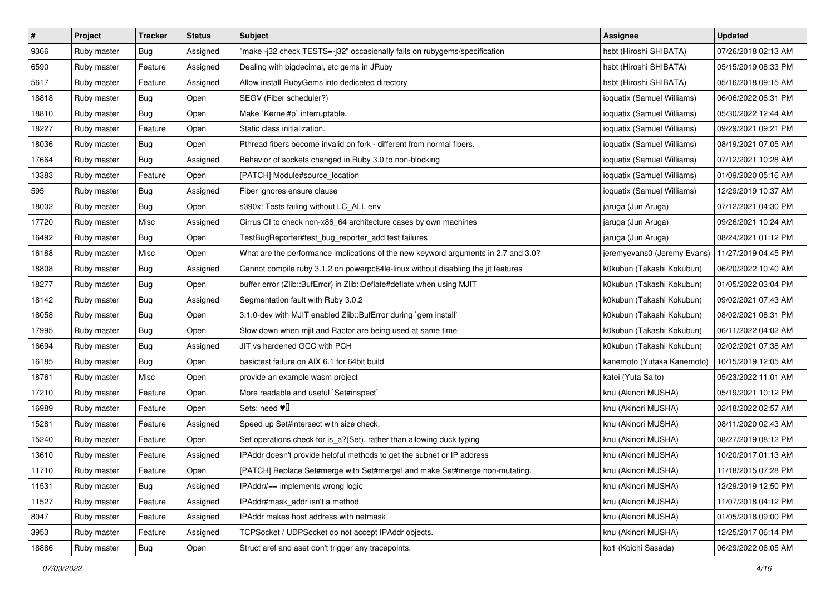| $\pmb{\#}$ | Project     | <b>Tracker</b> | <b>Status</b> | <b>Subject</b>                                                                     | <b>Assignee</b>             | <b>Updated</b>      |
|------------|-------------|----------------|---------------|------------------------------------------------------------------------------------|-----------------------------|---------------------|
| 9366       | Ruby master | <b>Bug</b>     | Assigned      | "make-j32 check TESTS=-j32" occasionally fails on rubygems/specification           | hsbt (Hiroshi SHIBATA)      | 07/26/2018 02:13 AM |
| 6590       | Ruby master | Feature        | Assigned      | Dealing with bigdecimal, etc gems in JRuby                                         | hsbt (Hiroshi SHIBATA)      | 05/15/2019 08:33 PM |
| 5617       | Ruby master | Feature        | Assigned      | Allow install RubyGems into dediceted directory                                    | hsbt (Hiroshi SHIBATA)      | 05/16/2018 09:15 AM |
| 18818      | Ruby master | <b>Bug</b>     | Open          | SEGV (Fiber scheduler?)                                                            | ioquatix (Samuel Williams)  | 06/06/2022 06:31 PM |
| 18810      | Ruby master | Bug            | Open          | Make `Kernel#p` interruptable.                                                     | ioquatix (Samuel Williams)  | 05/30/2022 12:44 AM |
| 18227      | Ruby master | Feature        | Open          | Static class initialization.                                                       | ioquatix (Samuel Williams)  | 09/29/2021 09:21 PM |
| 18036      | Ruby master | Bug            | Open          | Pthread fibers become invalid on fork - different from normal fibers.              | ioquatix (Samuel Williams)  | 08/19/2021 07:05 AM |
| 17664      | Ruby master | Bug            | Assigned      | Behavior of sockets changed in Ruby 3.0 to non-blocking                            | ioquatix (Samuel Williams)  | 07/12/2021 10:28 AM |
| 13383      | Ruby master | Feature        | Open          | [PATCH] Module#source_location                                                     | ioquatix (Samuel Williams)  | 01/09/2020 05:16 AM |
| 595        | Ruby master | Bug            | Assigned      | Fiber ignores ensure clause                                                        | ioquatix (Samuel Williams)  | 12/29/2019 10:37 AM |
| 18002      | Ruby master | Bug            | Open          | s390x: Tests failing without LC_ALL env                                            | jaruga (Jun Aruga)          | 07/12/2021 04:30 PM |
| 17720      | Ruby master | Misc           | Assigned      | Cirrus CI to check non-x86_64 architecture cases by own machines                   | jaruga (Jun Aruga)          | 09/26/2021 10:24 AM |
| 16492      | Ruby master | Bug            | Open          | TestBugReporter#test_bug_reporter_add test failures                                | jaruga (Jun Aruga)          | 08/24/2021 01:12 PM |
| 16188      | Ruby master | Misc           | Open          | What are the performance implications of the new keyword arguments in 2.7 and 3.0? | jeremyevans0 (Jeremy Evans) | 11/27/2019 04:45 PM |
| 18808      | Ruby master | <b>Bug</b>     | Assigned      | Cannot compile ruby 3.1.2 on powerpc64le-linux without disabling the jit features  | k0kubun (Takashi Kokubun)   | 06/20/2022 10:40 AM |
| 18277      | Ruby master | Bug            | Open          | buffer error (Zlib::BufError) in Zlib::Deflate#deflate when using MJIT             | k0kubun (Takashi Kokubun)   | 01/05/2022 03:04 PM |
| 18142      | Ruby master | <b>Bug</b>     | Assigned      | Segmentation fault with Ruby 3.0.2                                                 | k0kubun (Takashi Kokubun)   | 09/02/2021 07:43 AM |
| 18058      | Ruby master | Bug            | Open          | 3.1.0-dev with MJIT enabled Zlib::BufError during `gem install`                    | k0kubun (Takashi Kokubun)   | 08/02/2021 08:31 PM |
| 17995      | Ruby master | <b>Bug</b>     | Open          | Slow down when mjit and Ractor are being used at same time                         | k0kubun (Takashi Kokubun)   | 06/11/2022 04:02 AM |
| 16694      | Ruby master | Bug            | Assigned      | JIT vs hardened GCC with PCH                                                       | k0kubun (Takashi Kokubun)   | 02/02/2021 07:38 AM |
| 16185      | Ruby master | Bug            | Open          | basictest failure on AIX 6.1 for 64bit build                                       | kanemoto (Yutaka Kanemoto)  | 10/15/2019 12:05 AM |
| 18761      | Ruby master | Misc           | Open          | provide an example wasm project                                                    | katei (Yuta Saito)          | 05/23/2022 11:01 AM |
| 17210      | Ruby master | Feature        | Open          | More readable and useful `Set#inspect`                                             | knu (Akinori MUSHA)         | 05/19/2021 10:12 PM |
| 16989      | Ruby master | Feature        | Open          | Sets: need $\Psi$                                                                  | knu (Akinori MUSHA)         | 02/18/2022 02:57 AM |
| 15281      | Ruby master | Feature        | Assigned      | Speed up Set#intersect with size check.                                            | knu (Akinori MUSHA)         | 08/11/2020 02:43 AM |
| 15240      | Ruby master | Feature        | Open          | Set operations check for is_a?(Set), rather than allowing duck typing              | knu (Akinori MUSHA)         | 08/27/2019 08:12 PM |
| 13610      | Ruby master | Feature        | Assigned      | IPAddr doesn't provide helpful methods to get the subnet or IP address             | knu (Akinori MUSHA)         | 10/20/2017 01:13 AM |
| 11710      | Ruby master | Feature        | Open          | [PATCH] Replace Set#merge with Set#merge! and make Set#merge non-mutating.         | knu (Akinori MUSHA)         | 11/18/2015 07:28 PM |
| 11531      | Ruby master | Bug            | Assigned      | IPAddr#== implements wrong logic                                                   | knu (Akinori MUSHA)         | 12/29/2019 12:50 PM |
| 11527      | Ruby master | Feature        | Assigned      | IPAddr#mask addr isn't a method                                                    | knu (Akinori MUSHA)         | 11/07/2018 04:12 PM |
| 8047       | Ruby master | Feature        | Assigned      | IPAddr makes host address with netmask                                             | knu (Akinori MUSHA)         | 01/05/2018 09:00 PM |
| 3953       | Ruby master | Feature        | Assigned      | TCPSocket / UDPSocket do not accept IPAddr objects.                                | knu (Akinori MUSHA)         | 12/25/2017 06:14 PM |
| 18886      | Ruby master | <b>Bug</b>     | Open          | Struct aref and aset don't trigger any tracepoints.                                | ko1 (Koichi Sasada)         | 06/29/2022 06:05 AM |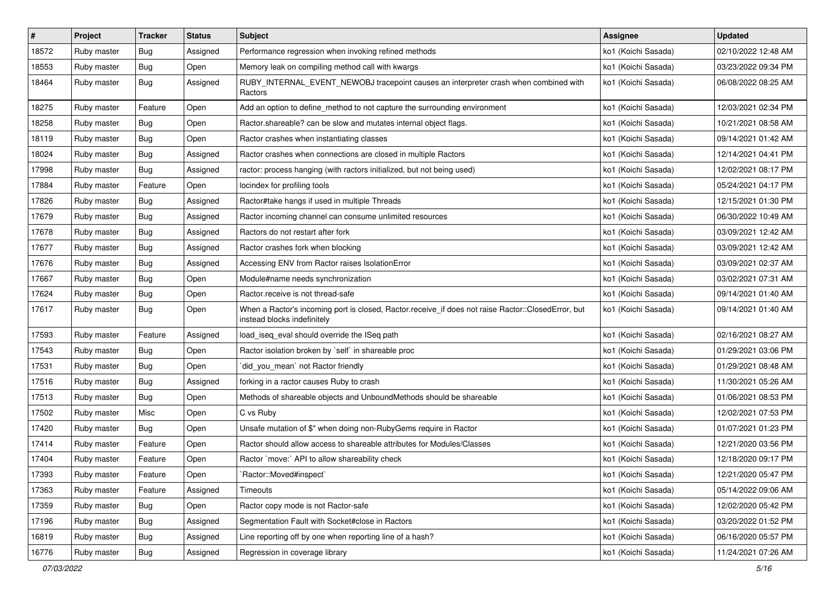| $\vert$ # | Project     | <b>Tracker</b> | <b>Status</b> | <b>Subject</b>                                                                                                                    | Assignee            | <b>Updated</b>      |
|-----------|-------------|----------------|---------------|-----------------------------------------------------------------------------------------------------------------------------------|---------------------|---------------------|
| 18572     | Ruby master | Bug            | Assigned      | Performance regression when invoking refined methods                                                                              | ko1 (Koichi Sasada) | 02/10/2022 12:48 AM |
| 18553     | Ruby master | Bug            | Open          | Memory leak on compiling method call with kwargs                                                                                  | ko1 (Koichi Sasada) | 03/23/2022 09:34 PM |
| 18464     | Ruby master | Bug            | Assigned      | RUBY_INTERNAL_EVENT_NEWOBJ tracepoint causes an interpreter crash when combined with<br>Ractors                                   | ko1 (Koichi Sasada) | 06/08/2022 08:25 AM |
| 18275     | Ruby master | Feature        | Open          | Add an option to define_method to not capture the surrounding environment                                                         | ko1 (Koichi Sasada) | 12/03/2021 02:34 PM |
| 18258     | Ruby master | Bug            | Open          | Ractor shareable? can be slow and mutates internal object flags.                                                                  | ko1 (Koichi Sasada) | 10/21/2021 08:58 AM |
| 18119     | Ruby master | Bug            | Open          | Ractor crashes when instantiating classes                                                                                         | ko1 (Koichi Sasada) | 09/14/2021 01:42 AM |
| 18024     | Ruby master | Bug            | Assigned      | Ractor crashes when connections are closed in multiple Ractors                                                                    | ko1 (Koichi Sasada) | 12/14/2021 04:41 PM |
| 17998     | Ruby master | <b>Bug</b>     | Assigned      | ractor: process hanging (with ractors initialized, but not being used)                                                            | ko1 (Koichi Sasada) | 12/02/2021 08:17 PM |
| 17884     | Ruby master | Feature        | Open          | locindex for profiling tools                                                                                                      | ko1 (Koichi Sasada) | 05/24/2021 04:17 PM |
| 17826     | Ruby master | Bug            | Assigned      | Ractor#take hangs if used in multiple Threads                                                                                     | ko1 (Koichi Sasada) | 12/15/2021 01:30 PM |
| 17679     | Ruby master | Bug            | Assigned      | Ractor incoming channel can consume unlimited resources                                                                           | ko1 (Koichi Sasada) | 06/30/2022 10:49 AM |
| 17678     | Ruby master | Bug            | Assigned      | Ractors do not restart after fork                                                                                                 | ko1 (Koichi Sasada) | 03/09/2021 12:42 AM |
| 17677     | Ruby master | Bug            | Assigned      | Ractor crashes fork when blocking                                                                                                 | ko1 (Koichi Sasada) | 03/09/2021 12:42 AM |
| 17676     | Ruby master | Bug            | Assigned      | Accessing ENV from Ractor raises IsolationError                                                                                   | ko1 (Koichi Sasada) | 03/09/2021 02:37 AM |
| 17667     | Ruby master | Bug            | Open          | Module#name needs synchronization                                                                                                 | ko1 (Koichi Sasada) | 03/02/2021 07:31 AM |
| 17624     | Ruby master | Bug            | Open          | Ractor.receive is not thread-safe                                                                                                 | ko1 (Koichi Sasada) | 09/14/2021 01:40 AM |
| 17617     | Ruby master | Bug            | Open          | When a Ractor's incoming port is closed, Ractor.receive_if does not raise Ractor::ClosedError, but<br>instead blocks indefinitely | ko1 (Koichi Sasada) | 09/14/2021 01:40 AM |
| 17593     | Ruby master | Feature        | Assigned      | load_iseq_eval should override the ISeq path                                                                                      | ko1 (Koichi Sasada) | 02/16/2021 08:27 AM |
| 17543     | Ruby master | Bug            | Open          | Ractor isolation broken by `self` in shareable proc                                                                               | ko1 (Koichi Sasada) | 01/29/2021 03:06 PM |
| 17531     | Ruby master | <b>Bug</b>     | Open          | `did_you_mean` not Ractor friendly                                                                                                | ko1 (Koichi Sasada) | 01/29/2021 08:48 AM |
| 17516     | Ruby master | Bug            | Assigned      | forking in a ractor causes Ruby to crash                                                                                          | ko1 (Koichi Sasada) | 11/30/2021 05:26 AM |
| 17513     | Ruby master | Bug            | Open          | Methods of shareable objects and UnboundMethods should be shareable                                                               | ko1 (Koichi Sasada) | 01/06/2021 08:53 PM |
| 17502     | Ruby master | Misc           | Open          | C vs Ruby                                                                                                                         | ko1 (Koichi Sasada) | 12/02/2021 07:53 PM |
| 17420     | Ruby master | Bug            | Open          | Unsafe mutation of \$" when doing non-RubyGems require in Ractor                                                                  | ko1 (Koichi Sasada) | 01/07/2021 01:23 PM |
| 17414     | Ruby master | Feature        | Open          | Ractor should allow access to shareable attributes for Modules/Classes                                                            | ko1 (Koichi Sasada) | 12/21/2020 03:56 PM |
| 17404     | Ruby master | Feature        | Open          | Ractor `move:` API to allow shareability check                                                                                    | ko1 (Koichi Sasada) | 12/18/2020 09:17 PM |
| 17393     | Ruby master | Feature        | Open          | Ractor::Moved#inspect`                                                                                                            | ko1 (Koichi Sasada) | 12/21/2020 05:47 PM |
| 17363     | Ruby master | Feature        | Assigned      | Timeouts                                                                                                                          | ko1 (Koichi Sasada) | 05/14/2022 09:06 AM |
| 17359     | Ruby master | <b>Bug</b>     | Open          | Ractor copy mode is not Ractor-safe                                                                                               | ko1 (Koichi Sasada) | 12/02/2020 05:42 PM |
| 17196     | Ruby master | Bug            | Assigned      | Segmentation Fault with Socket#close in Ractors                                                                                   | ko1 (Koichi Sasada) | 03/20/2022 01:52 PM |
| 16819     | Ruby master | Bug            | Assigned      | Line reporting off by one when reporting line of a hash?                                                                          | ko1 (Koichi Sasada) | 06/16/2020 05:57 PM |
| 16776     | Ruby master | Bug            | Assigned      | Regression in coverage library                                                                                                    | ko1 (Koichi Sasada) | 11/24/2021 07:26 AM |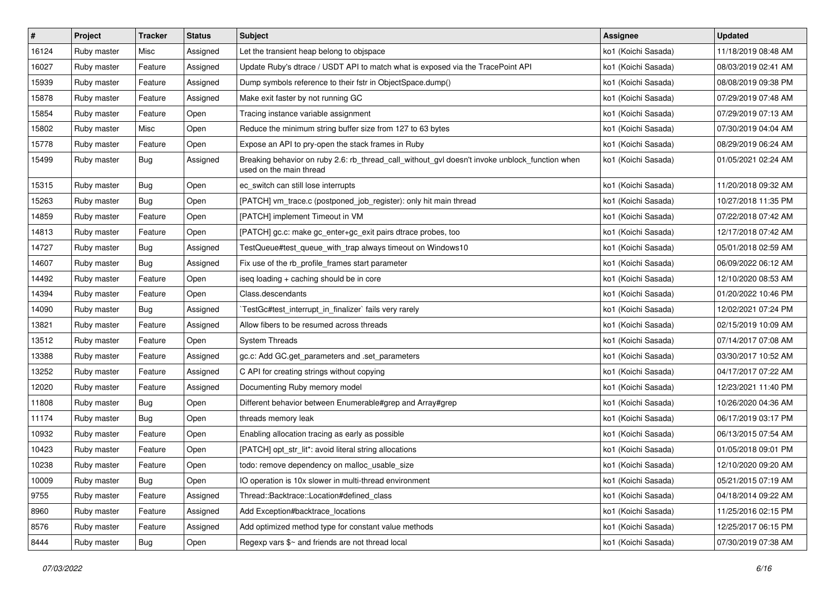| $\vert$ # | Project     | <b>Tracker</b> | <b>Status</b> | <b>Subject</b>                                                                                                            | <b>Assignee</b>     | <b>Updated</b>      |
|-----------|-------------|----------------|---------------|---------------------------------------------------------------------------------------------------------------------------|---------------------|---------------------|
| 16124     | Ruby master | Misc           | Assigned      | Let the transient heap belong to objspace                                                                                 | ko1 (Koichi Sasada) | 11/18/2019 08:48 AM |
| 16027     | Ruby master | Feature        | Assigned      | Update Ruby's dtrace / USDT API to match what is exposed via the TracePoint API                                           | ko1 (Koichi Sasada) | 08/03/2019 02:41 AM |
| 15939     | Ruby master | Feature        | Assigned      | Dump symbols reference to their fstr in ObjectSpace.dump()                                                                | ko1 (Koichi Sasada) | 08/08/2019 09:38 PM |
| 15878     | Ruby master | Feature        | Assigned      | Make exit faster by not running GC                                                                                        | ko1 (Koichi Sasada) | 07/29/2019 07:48 AM |
| 15854     | Ruby master | Feature        | Open          | Tracing instance variable assignment                                                                                      | ko1 (Koichi Sasada) | 07/29/2019 07:13 AM |
| 15802     | Ruby master | Misc           | Open          | Reduce the minimum string buffer size from 127 to 63 bytes                                                                | ko1 (Koichi Sasada) | 07/30/2019 04:04 AM |
| 15778     | Ruby master | Feature        | Open          | Expose an API to pry-open the stack frames in Ruby                                                                        | ko1 (Koichi Sasada) | 08/29/2019 06:24 AM |
| 15499     | Ruby master | Bug            | Assigned      | Breaking behavior on ruby 2.6: rb_thread_call_without_gvl doesn't invoke unblock_function when<br>used on the main thread | ko1 (Koichi Sasada) | 01/05/2021 02:24 AM |
| 15315     | Ruby master | Bug            | Open          | ec_switch can still lose interrupts                                                                                       | ko1 (Koichi Sasada) | 11/20/2018 09:32 AM |
| 15263     | Ruby master | Bug            | Open          | [PATCH] vm_trace.c (postponed_job_register): only hit main thread                                                         | ko1 (Koichi Sasada) | 10/27/2018 11:35 PM |
| 14859     | Ruby master | Feature        | Open          | [PATCH] implement Timeout in VM                                                                                           | ko1 (Koichi Sasada) | 07/22/2018 07:42 AM |
| 14813     | Ruby master | Feature        | Open          | [PATCH] gc.c: make gc_enter+gc_exit pairs dtrace probes, too                                                              | ko1 (Koichi Sasada) | 12/17/2018 07:42 AM |
| 14727     | Ruby master | Bug            | Assigned      | TestQueue#test_queue_with_trap always timeout on Windows10                                                                | ko1 (Koichi Sasada) | 05/01/2018 02:59 AM |
| 14607     | Ruby master | Bug            | Assigned      | Fix use of the rb_profile_frames start parameter                                                                          | ko1 (Koichi Sasada) | 06/09/2022 06:12 AM |
| 14492     | Ruby master | Feature        | Open          | iseq loading + caching should be in core                                                                                  | ko1 (Koichi Sasada) | 12/10/2020 08:53 AM |
| 14394     | Ruby master | Feature        | Open          | Class.descendants                                                                                                         | ko1 (Koichi Sasada) | 01/20/2022 10:46 PM |
| 14090     | Ruby master | Bug            | Assigned      | TestGc#test_interrupt_in_finalizer` fails very rarely                                                                     | ko1 (Koichi Sasada) | 12/02/2021 07:24 PM |
| 13821     | Ruby master | Feature        | Assigned      | Allow fibers to be resumed across threads                                                                                 | ko1 (Koichi Sasada) | 02/15/2019 10:09 AM |
| 13512     | Ruby master | Feature        | Open          | <b>System Threads</b>                                                                                                     | ko1 (Koichi Sasada) | 07/14/2017 07:08 AM |
| 13388     | Ruby master | Feature        | Assigned      | gc.c: Add GC.get_parameters and .set_parameters                                                                           | ko1 (Koichi Sasada) | 03/30/2017 10:52 AM |
| 13252     | Ruby master | Feature        | Assigned      | C API for creating strings without copying                                                                                | ko1 (Koichi Sasada) | 04/17/2017 07:22 AM |
| 12020     | Ruby master | Feature        | Assigned      | Documenting Ruby memory model                                                                                             | ko1 (Koichi Sasada) | 12/23/2021 11:40 PM |
| 11808     | Ruby master | Bug            | Open          | Different behavior between Enumerable#grep and Array#grep                                                                 | ko1 (Koichi Sasada) | 10/26/2020 04:36 AM |
| 11174     | Ruby master | Bug            | Open          | threads memory leak                                                                                                       | ko1 (Koichi Sasada) | 06/17/2019 03:17 PM |
| 10932     | Ruby master | Feature        | Open          | Enabling allocation tracing as early as possible                                                                          | ko1 (Koichi Sasada) | 06/13/2015 07:54 AM |
| 10423     | Ruby master | Feature        | Open          | [PATCH] opt_str_lit*: avoid literal string allocations                                                                    | ko1 (Koichi Sasada) | 01/05/2018 09:01 PM |
| 10238     | Ruby master | Feature        | Open          | todo: remove dependency on malloc_usable_size                                                                             | ko1 (Koichi Sasada) | 12/10/2020 09:20 AM |
| 10009     | Ruby master | Bug            | Open          | IO operation is 10x slower in multi-thread environment                                                                    | ko1 (Koichi Sasada) | 05/21/2015 07:19 AM |
| 9755      | Ruby master | Feature        | Assigned      | Thread::Backtrace::Location#defined_class                                                                                 | ko1 (Koichi Sasada) | 04/18/2014 09:22 AM |
| 8960      | Ruby master | Feature        | Assigned      | Add Exception#backtrace_locations                                                                                         | ko1 (Koichi Sasada) | 11/25/2016 02:15 PM |
| 8576      | Ruby master | Feature        | Assigned      | Add optimized method type for constant value methods                                                                      | ko1 (Koichi Sasada) | 12/25/2017 06:15 PM |
| 8444      | Ruby master | Bug            | Open          | Regexp vars \$~ and friends are not thread local                                                                          | ko1 (Koichi Sasada) | 07/30/2019 07:38 AM |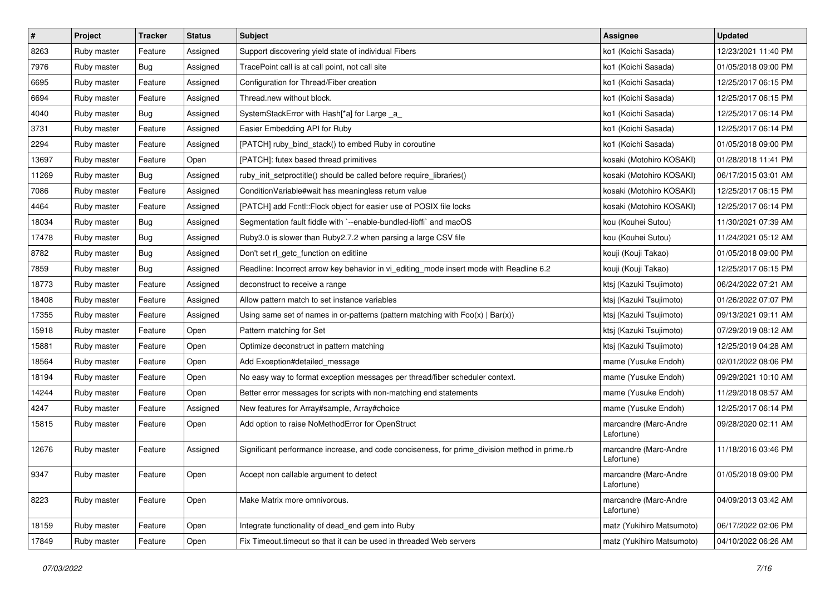| #     | Project     | <b>Tracker</b> | <b>Status</b> | Subject                                                                                       | <b>Assignee</b>                     | <b>Updated</b>      |
|-------|-------------|----------------|---------------|-----------------------------------------------------------------------------------------------|-------------------------------------|---------------------|
| 8263  | Ruby master | Feature        | Assigned      | Support discovering yield state of individual Fibers                                          | ko1 (Koichi Sasada)                 | 12/23/2021 11:40 PM |
| 7976  | Ruby master | Bug            | Assigned      | TracePoint call is at call point, not call site                                               | ko1 (Koichi Sasada)                 | 01/05/2018 09:00 PM |
| 6695  | Ruby master | Feature        | Assigned      | Configuration for Thread/Fiber creation                                                       | ko1 (Koichi Sasada)                 | 12/25/2017 06:15 PM |
| 6694  | Ruby master | Feature        | Assigned      | Thread.new without block.                                                                     | ko1 (Koichi Sasada)                 | 12/25/2017 06:15 PM |
| 4040  | Ruby master | Bug            | Assigned      | SystemStackError with Hash[*a] for Large _a_                                                  | ko1 (Koichi Sasada)                 | 12/25/2017 06:14 PM |
| 3731  | Ruby master | Feature        | Assigned      | Easier Embedding API for Ruby                                                                 | ko1 (Koichi Sasada)                 | 12/25/2017 06:14 PM |
| 2294  | Ruby master | Feature        | Assigned      | [PATCH] ruby_bind_stack() to embed Ruby in coroutine                                          | ko1 (Koichi Sasada)                 | 01/05/2018 09:00 PM |
| 13697 | Ruby master | Feature        | Open          | [PATCH]: futex based thread primitives                                                        | kosaki (Motohiro KOSAKI)            | 01/28/2018 11:41 PM |
| 11269 | Ruby master | Bug            | Assigned      | ruby_init_setproctitle() should be called before require_libraries()                          | kosaki (Motohiro KOSAKI)            | 06/17/2015 03:01 AM |
| 7086  | Ruby master | Feature        | Assigned      | ConditionVariable#wait has meaningless return value                                           | kosaki (Motohiro KOSAKI)            | 12/25/2017 06:15 PM |
| 4464  | Ruby master | Feature        | Assigned      | [PATCH] add Fcntl:: Flock object for easier use of POSIX file locks                           | kosaki (Motohiro KOSAKI)            | 12/25/2017 06:14 PM |
| 18034 | Ruby master | Bug            | Assigned      | Segmentation fault fiddle with `--enable-bundled-libffi` and macOS                            | kou (Kouhei Sutou)                  | 11/30/2021 07:39 AM |
| 17478 | Ruby master | Bug            | Assigned      | Ruby3.0 is slower than Ruby2.7.2 when parsing a large CSV file                                | kou (Kouhei Sutou)                  | 11/24/2021 05:12 AM |
| 8782  | Ruby master | Bug            | Assigned      | Don't set rl_getc_function on editline                                                        | kouji (Kouji Takao)                 | 01/05/2018 09:00 PM |
| 7859  | Ruby master | <b>Bug</b>     | Assigned      | Readline: Incorrect arrow key behavior in vi_editing_mode insert mode with Readline 6.2       | kouji (Kouji Takao)                 | 12/25/2017 06:15 PM |
| 18773 | Ruby master | Feature        | Assigned      | deconstruct to receive a range                                                                | ktsj (Kazuki Tsujimoto)             | 06/24/2022 07:21 AM |
| 18408 | Ruby master | Feature        | Assigned      | Allow pattern match to set instance variables                                                 | ktsj (Kazuki Tsujimoto)             | 01/26/2022 07:07 PM |
| 17355 | Ruby master | Feature        | Assigned      | Using same set of names in or-patterns (pattern matching with $Foo(x)   Bar(x)$ )             | ktsj (Kazuki Tsujimoto)             | 09/13/2021 09:11 AM |
| 15918 | Ruby master | Feature        | Open          | Pattern matching for Set                                                                      | ktsj (Kazuki Tsujimoto)             | 07/29/2019 08:12 AM |
| 15881 | Ruby master | Feature        | Open          | Optimize deconstruct in pattern matching                                                      | ktsj (Kazuki Tsujimoto)             | 12/25/2019 04:28 AM |
| 18564 | Ruby master | Feature        | Open          | Add Exception#detailed message                                                                | mame (Yusuke Endoh)                 | 02/01/2022 08:06 PM |
| 18194 | Ruby master | Feature        | Open          | No easy way to format exception messages per thread/fiber scheduler context.                  | mame (Yusuke Endoh)                 | 09/29/2021 10:10 AM |
| 14244 | Ruby master | Feature        | Open          | Better error messages for scripts with non-matching end statements                            | mame (Yusuke Endoh)                 | 11/29/2018 08:57 AM |
| 4247  | Ruby master | Feature        | Assigned      | New features for Array#sample, Array#choice                                                   | mame (Yusuke Endoh)                 | 12/25/2017 06:14 PM |
| 15815 | Ruby master | Feature        | Open          | Add option to raise NoMethodError for OpenStruct                                              | marcandre (Marc-Andre<br>Lafortune) | 09/28/2020 02:11 AM |
| 12676 | Ruby master | Feature        | Assigned      | Significant performance increase, and code conciseness, for prime_division method in prime.rb | marcandre (Marc-Andre<br>Lafortune) | 11/18/2016 03:46 PM |
| 9347  | Ruby master | Feature        | Open          | Accept non callable argument to detect                                                        | marcandre (Marc-Andre<br>Lafortune) | 01/05/2018 09:00 PM |
| 8223  | Ruby master | Feature        | Open          | Make Matrix more omnivorous.                                                                  | marcandre (Marc-Andre<br>Lafortune) | 04/09/2013 03:42 AM |
| 18159 | Ruby master | Feature        | Open          | Integrate functionality of dead end gem into Ruby                                             | matz (Yukihiro Matsumoto)           | 06/17/2022 02:06 PM |
| 17849 | Ruby master | Feature        | Open          | Fix Timeout.timeout so that it can be used in threaded Web servers                            | matz (Yukihiro Matsumoto)           | 04/10/2022 06:26 AM |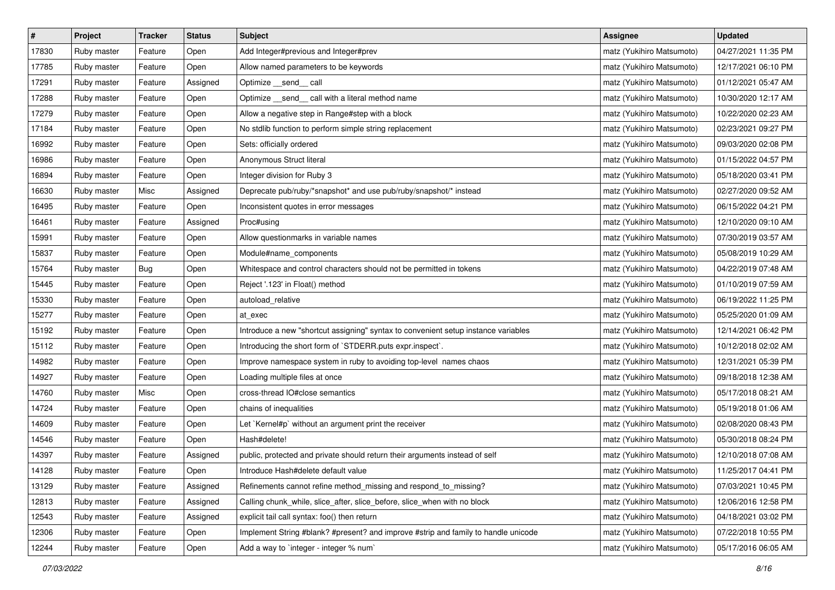| $\sharp$ | Project     | Tracker | <b>Status</b> | <b>Subject</b>                                                                     | <b>Assignee</b>           | <b>Updated</b>      |
|----------|-------------|---------|---------------|------------------------------------------------------------------------------------|---------------------------|---------------------|
| 17830    | Ruby master | Feature | Open          | Add Integer#previous and Integer#prev                                              | matz (Yukihiro Matsumoto) | 04/27/2021 11:35 PM |
| 17785    | Ruby master | Feature | Open          | Allow named parameters to be keywords                                              | matz (Yukihiro Matsumoto) | 12/17/2021 06:10 PM |
| 17291    | Ruby master | Feature | Assigned      | Optimize __send__ call                                                             | matz (Yukihiro Matsumoto) | 01/12/2021 05:47 AM |
| 17288    | Ruby master | Feature | Open          | Optimize _send_ call with a literal method name                                    | matz (Yukihiro Matsumoto) | 10/30/2020 12:17 AM |
| 17279    | Ruby master | Feature | Open          | Allow a negative step in Range#step with a block                                   | matz (Yukihiro Matsumoto) | 10/22/2020 02:23 AM |
| 17184    | Ruby master | Feature | Open          | No stdlib function to perform simple string replacement                            | matz (Yukihiro Matsumoto) | 02/23/2021 09:27 PM |
| 16992    | Ruby master | Feature | Open          | Sets: officially ordered                                                           | matz (Yukihiro Matsumoto) | 09/03/2020 02:08 PM |
| 16986    | Ruby master | Feature | Open          | Anonymous Struct literal                                                           | matz (Yukihiro Matsumoto) | 01/15/2022 04:57 PM |
| 16894    | Ruby master | Feature | Open          | Integer division for Ruby 3                                                        | matz (Yukihiro Matsumoto) | 05/18/2020 03:41 PM |
| 16630    | Ruby master | Misc    | Assigned      | Deprecate pub/ruby/*snapshot* and use pub/ruby/snapshot/* instead                  | matz (Yukihiro Matsumoto) | 02/27/2020 09:52 AM |
| 16495    | Ruby master | Feature | Open          | Inconsistent quotes in error messages                                              | matz (Yukihiro Matsumoto) | 06/15/2022 04:21 PM |
| 16461    | Ruby master | Feature | Assigned      | Proc#using                                                                         | matz (Yukihiro Matsumoto) | 12/10/2020 09:10 AM |
| 15991    | Ruby master | Feature | Open          | Allow questionmarks in variable names                                              | matz (Yukihiro Matsumoto) | 07/30/2019 03:57 AM |
| 15837    | Ruby master | Feature | Open          | Module#name components                                                             | matz (Yukihiro Matsumoto) | 05/08/2019 10:29 AM |
| 15764    | Ruby master | Bug     | Open          | Whitespace and control characters should not be permitted in tokens                | matz (Yukihiro Matsumoto) | 04/22/2019 07:48 AM |
| 15445    | Ruby master | Feature | Open          | Reject '.123' in Float() method                                                    | matz (Yukihiro Matsumoto) | 01/10/2019 07:59 AM |
| 15330    | Ruby master | Feature | Open          | autoload_relative                                                                  | matz (Yukihiro Matsumoto) | 06/19/2022 11:25 PM |
| 15277    | Ruby master | Feature | Open          | at exec                                                                            | matz (Yukihiro Matsumoto) | 05/25/2020 01:09 AM |
| 15192    | Ruby master | Feature | Open          | Introduce a new "shortcut assigning" syntax to convenient setup instance variables | matz (Yukihiro Matsumoto) | 12/14/2021 06:42 PM |
| 15112    | Ruby master | Feature | Open          | Introducing the short form of `STDERR.puts expr.inspect`.                          | matz (Yukihiro Matsumoto) | 10/12/2018 02:02 AM |
| 14982    | Ruby master | Feature | Open          | Improve namespace system in ruby to avoiding top-level names chaos                 | matz (Yukihiro Matsumoto) | 12/31/2021 05:39 PM |
| 14927    | Ruby master | Feature | Open          | Loading multiple files at once                                                     | matz (Yukihiro Matsumoto) | 09/18/2018 12:38 AM |
| 14760    | Ruby master | Misc    | Open          | cross-thread IO#close semantics                                                    | matz (Yukihiro Matsumoto) | 05/17/2018 08:21 AM |
| 14724    | Ruby master | Feature | Open          | chains of inequalities                                                             | matz (Yukihiro Matsumoto) | 05/19/2018 01:06 AM |
| 14609    | Ruby master | Feature | Open          | Let `Kernel#p` without an argument print the receiver                              | matz (Yukihiro Matsumoto) | 02/08/2020 08:43 PM |
| 14546    | Ruby master | Feature | Open          | Hash#delete!                                                                       | matz (Yukihiro Matsumoto) | 05/30/2018 08:24 PM |
| 14397    | Ruby master | Feature | Assigned      | public, protected and private should return their arguments instead of self        | matz (Yukihiro Matsumoto) | 12/10/2018 07:08 AM |
| 14128    | Ruby master | Feature | Open          | Introduce Hash#delete default value                                                | matz (Yukihiro Matsumoto) | 11/25/2017 04:41 PM |
| 13129    | Ruby master | Feature | Assigned      | Refinements cannot refine method_missing and respond_to_missing?                   | matz (Yukihiro Matsumoto) | 07/03/2021 10:45 PM |
| 12813    | Ruby master | Feature | Assigned      | Calling chunk_while, slice_after, slice_before, slice_when with no block           | matz (Yukihiro Matsumoto) | 12/06/2016 12:58 PM |
| 12543    | Ruby master | Feature | Assigned      | explicit tail call syntax: foo() then return                                       | matz (Yukihiro Matsumoto) | 04/18/2021 03:02 PM |
| 12306    | Ruby master | Feature | Open          | Implement String #blank? #present? and improve #strip and family to handle unicode | matz (Yukihiro Matsumoto) | 07/22/2018 10:55 PM |
| 12244    | Ruby master | Feature | Open          | Add a way to `integer - integer % num`                                             | matz (Yukihiro Matsumoto) | 05/17/2016 06:05 AM |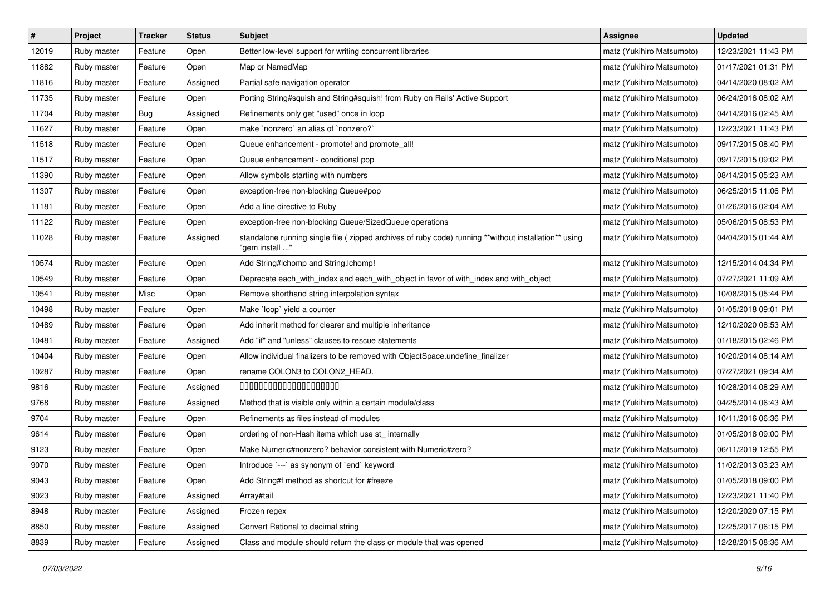| $\sharp$ | Project     | Tracker | <b>Status</b> | <b>Subject</b>                                                                                                          | <b>Assignee</b>           | <b>Updated</b>      |
|----------|-------------|---------|---------------|-------------------------------------------------------------------------------------------------------------------------|---------------------------|---------------------|
| 12019    | Ruby master | Feature | Open          | Better low-level support for writing concurrent libraries                                                               | matz (Yukihiro Matsumoto) | 12/23/2021 11:43 PM |
| 11882    | Ruby master | Feature | Open          | Map or NamedMap                                                                                                         | matz (Yukihiro Matsumoto) | 01/17/2021 01:31 PM |
| 11816    | Ruby master | Feature | Assigned      | Partial safe navigation operator                                                                                        | matz (Yukihiro Matsumoto) | 04/14/2020 08:02 AM |
| 11735    | Ruby master | Feature | Open          | Porting String#squish and String#squish! from Ruby on Rails' Active Support                                             | matz (Yukihiro Matsumoto) | 06/24/2016 08:02 AM |
| 11704    | Ruby master | Bug     | Assigned      | Refinements only get "used" once in loop                                                                                | matz (Yukihiro Matsumoto) | 04/14/2016 02:45 AM |
| 11627    | Ruby master | Feature | Open          | make `nonzero` an alias of `nonzero?`                                                                                   | matz (Yukihiro Matsumoto) | 12/23/2021 11:43 PM |
| 11518    | Ruby master | Feature | Open          | Queue enhancement - promote! and promote_all!                                                                           | matz (Yukihiro Matsumoto) | 09/17/2015 08:40 PM |
| 11517    | Ruby master | Feature | Open          | Queue enhancement - conditional pop                                                                                     | matz (Yukihiro Matsumoto) | 09/17/2015 09:02 PM |
| 11390    | Ruby master | Feature | Open          | Allow symbols starting with numbers                                                                                     | matz (Yukihiro Matsumoto) | 08/14/2015 05:23 AM |
| 11307    | Ruby master | Feature | Open          | exception-free non-blocking Queue#pop                                                                                   | matz (Yukihiro Matsumoto) | 06/25/2015 11:06 PM |
| 11181    | Ruby master | Feature | Open          | Add a line directive to Ruby                                                                                            | matz (Yukihiro Matsumoto) | 01/26/2016 02:04 AM |
| 11122    | Ruby master | Feature | Open          | exception-free non-blocking Queue/SizedQueue operations                                                                 | matz (Yukihiro Matsumoto) | 05/06/2015 08:53 PM |
| 11028    | Ruby master | Feature | Assigned      | standalone running single file ( zipped archives of ruby code) running **without installation** using<br>"gem install " | matz (Yukihiro Matsumoto) | 04/04/2015 01:44 AM |
| 10574    | Ruby master | Feature | Open          | Add String#Ichomp and String.Ichomp!                                                                                    | matz (Yukihiro Matsumoto) | 12/15/2014 04:34 PM |
| 10549    | Ruby master | Feature | Open          | Deprecate each_with_index and each_with_object in favor of with_index and with_object                                   | matz (Yukihiro Matsumoto) | 07/27/2021 11:09 AM |
| 10541    | Ruby master | Misc    | Open          | Remove shorthand string interpolation syntax                                                                            | matz (Yukihiro Matsumoto) | 10/08/2015 05:44 PM |
| 10498    | Ruby master | Feature | Open          | Make `loop` yield a counter                                                                                             | matz (Yukihiro Matsumoto) | 01/05/2018 09:01 PM |
| 10489    | Ruby master | Feature | Open          | Add inherit method for clearer and multiple inheritance                                                                 | matz (Yukihiro Matsumoto) | 12/10/2020 08:53 AM |
| 10481    | Ruby master | Feature | Assigned      | Add "if" and "unless" clauses to rescue statements                                                                      | matz (Yukihiro Matsumoto) | 01/18/2015 02:46 PM |
| 10404    | Ruby master | Feature | Open          | Allow individual finalizers to be removed with ObjectSpace.undefine_finalizer                                           | matz (Yukihiro Matsumoto) | 10/20/2014 08:14 AM |
| 10287    | Ruby master | Feature | Open          | rename COLON3 to COLON2_HEAD.                                                                                           | matz (Yukihiro Matsumoto) | 07/27/2021 09:34 AM |
| 9816     | Ruby master | Feature | Assigned      | 00000000000000000000                                                                                                    | matz (Yukihiro Matsumoto) | 10/28/2014 08:29 AM |
| 9768     | Ruby master | Feature | Assigned      | Method that is visible only within a certain module/class                                                               | matz (Yukihiro Matsumoto) | 04/25/2014 06:43 AM |
| 9704     | Ruby master | Feature | Open          | Refinements as files instead of modules                                                                                 | matz (Yukihiro Matsumoto) | 10/11/2016 06:36 PM |
| 9614     | Ruby master | Feature | Open          | ordering of non-Hash items which use st_ internally                                                                     | matz (Yukihiro Matsumoto) | 01/05/2018 09:00 PM |
| 9123     | Ruby master | Feature | Open          | Make Numeric#nonzero? behavior consistent with Numeric#zero?                                                            | matz (Yukihiro Matsumoto) | 06/11/2019 12:55 PM |
| 9070     | Ruby master | Feature | Open          | Introduce `---` as synonym of `end` keyword                                                                             | matz (Yukihiro Matsumoto) | 11/02/2013 03:23 AM |
| 9043     | Ruby master | Feature | Open          | Add String#f method as shortcut for #freeze                                                                             | matz (Yukihiro Matsumoto) | 01/05/2018 09:00 PM |
| 9023     | Ruby master | Feature | Assigned      | Array#tail                                                                                                              | matz (Yukihiro Matsumoto) | 12/23/2021 11:40 PM |
| 8948     | Ruby master | Feature | Assigned      | Frozen regex                                                                                                            | matz (Yukihiro Matsumoto) | 12/20/2020 07:15 PM |
| 8850     | Ruby master | Feature | Assigned      | Convert Rational to decimal string                                                                                      | matz (Yukihiro Matsumoto) | 12/25/2017 06:15 PM |
| 8839     | Ruby master | Feature | Assigned      | Class and module should return the class or module that was opened                                                      | matz (Yukihiro Matsumoto) | 12/28/2015 08:36 AM |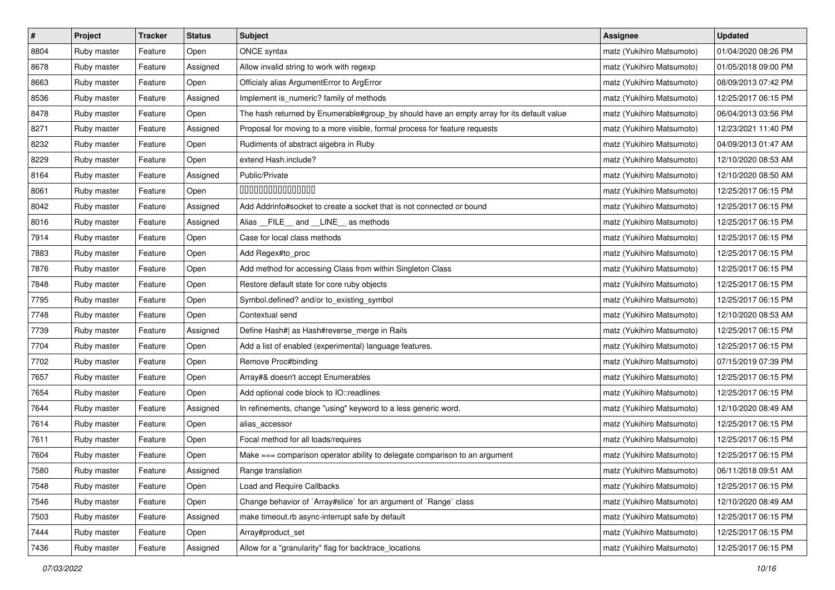| $\pmb{\#}$ | Project     | <b>Tracker</b> | <b>Status</b> | <b>Subject</b>                                                                            | <b>Assignee</b>           | <b>Updated</b>      |
|------------|-------------|----------------|---------------|-------------------------------------------------------------------------------------------|---------------------------|---------------------|
| 8804       | Ruby master | Feature        | Open          | <b>ONCE</b> syntax                                                                        | matz (Yukihiro Matsumoto) | 01/04/2020 08:26 PM |
| 8678       | Ruby master | Feature        | Assigned      | Allow invalid string to work with regexp                                                  | matz (Yukihiro Matsumoto) | 01/05/2018 09:00 PM |
| 8663       | Ruby master | Feature        | Open          | Officialy alias ArgumentError to ArgError                                                 | matz (Yukihiro Matsumoto) | 08/09/2013 07:42 PM |
| 8536       | Ruby master | Feature        | Assigned      | Implement is_numeric? family of methods                                                   | matz (Yukihiro Matsumoto) | 12/25/2017 06:15 PM |
| 8478       | Ruby master | Feature        | Open          | The hash returned by Enumerable#group_by should have an empty array for its default value | matz (Yukihiro Matsumoto) | 06/04/2013 03:56 PM |
| 8271       | Ruby master | Feature        | Assigned      | Proposal for moving to a more visible, formal process for feature requests                | matz (Yukihiro Matsumoto) | 12/23/2021 11:40 PM |
| 8232       | Ruby master | Feature        | Open          | Rudiments of abstract algebra in Ruby                                                     | matz (Yukihiro Matsumoto) | 04/09/2013 01:47 AM |
| 8229       | Ruby master | Feature        | Open          | extend Hash.include?                                                                      | matz (Yukihiro Matsumoto) | 12/10/2020 08:53 AM |
| 8164       | Ruby master | Feature        | Assigned      | Public/Private                                                                            | matz (Yukihiro Matsumoto) | 12/10/2020 08:50 AM |
| 8061       | Ruby master | Feature        | Open          | 000000000000000                                                                           | matz (Yukihiro Matsumoto) | 12/25/2017 06:15 PM |
| 8042       | Ruby master | Feature        | Assigned      | Add Addrinfo#socket to create a socket that is not connected or bound                     | matz (Yukihiro Matsumoto) | 12/25/2017 06:15 PM |
| 8016       | Ruby master | Feature        | Assigned      | Alias FILE and LINE as methods                                                            | matz (Yukihiro Matsumoto) | 12/25/2017 06:15 PM |
| 7914       | Ruby master | Feature        | Open          | Case for local class methods                                                              | matz (Yukihiro Matsumoto) | 12/25/2017 06:15 PM |
| 7883       | Ruby master | Feature        | Open          | Add Regex#to_proc                                                                         | matz (Yukihiro Matsumoto) | 12/25/2017 06:15 PM |
| 7876       | Ruby master | Feature        | Open          | Add method for accessing Class from within Singleton Class                                | matz (Yukihiro Matsumoto) | 12/25/2017 06:15 PM |
| 7848       | Ruby master | Feature        | Open          | Restore default state for core ruby objects                                               | matz (Yukihiro Matsumoto) | 12/25/2017 06:15 PM |
| 7795       | Ruby master | Feature        | Open          | Symbol.defined? and/or to_existing_symbol                                                 | matz (Yukihiro Matsumoto) | 12/25/2017 06:15 PM |
| 7748       | Ruby master | Feature        | Open          | Contextual send                                                                           | matz (Yukihiro Matsumoto) | 12/10/2020 08:53 AM |
| 7739       | Ruby master | Feature        | Assigned      | Define Hash#  as Hash#reverse_merge in Rails                                              | matz (Yukihiro Matsumoto) | 12/25/2017 06:15 PM |
| 7704       | Ruby master | Feature        | Open          | Add a list of enabled (experimental) language features.                                   | matz (Yukihiro Matsumoto) | 12/25/2017 06:15 PM |
| 7702       | Ruby master | Feature        | Open          | Remove Proc#binding                                                                       | matz (Yukihiro Matsumoto) | 07/15/2019 07:39 PM |
| 7657       | Ruby master | Feature        | Open          | Array#& doesn't accept Enumerables                                                        | matz (Yukihiro Matsumoto) | 12/25/2017 06:15 PM |
| 7654       | Ruby master | Feature        | Open          | Add optional code block to IO::readlines                                                  | matz (Yukihiro Matsumoto) | 12/25/2017 06:15 PM |
| 7644       | Ruby master | Feature        | Assigned      | In refinements, change "using" keyword to a less generic word.                            | matz (Yukihiro Matsumoto) | 12/10/2020 08:49 AM |
| 7614       | Ruby master | Feature        | Open          | alias accessor                                                                            | matz (Yukihiro Matsumoto) | 12/25/2017 06:15 PM |
| 7611       | Ruby master | Feature        | Open          | Focal method for all loads/requires                                                       | matz (Yukihiro Matsumoto) | 12/25/2017 06:15 PM |
| 7604       | Ruby master | Feature        | Open          | Make === comparison operator ability to delegate comparison to an argument                | matz (Yukihiro Matsumoto) | 12/25/2017 06:15 PM |
| 7580       | Ruby master | Feature        | Assigned      | Range translation                                                                         | matz (Yukihiro Matsumoto) | 06/11/2018 09:51 AM |
| 7548       | Ruby master | Feature        | Open          | Load and Require Callbacks                                                                | matz (Yukihiro Matsumoto) | 12/25/2017 06:15 PM |
| 7546       | Ruby master | Feature        | Open          | Change behavior of `Array#slice` for an argument of `Range` class                         | matz (Yukihiro Matsumoto) | 12/10/2020 08:49 AM |
| 7503       | Ruby master | Feature        | Assigned      | make timeout.rb async-interrupt safe by default                                           | matz (Yukihiro Matsumoto) | 12/25/2017 06:15 PM |
| 7444       | Ruby master | Feature        | Open          | Array#product_set                                                                         | matz (Yukihiro Matsumoto) | 12/25/2017 06:15 PM |
| 7436       | Ruby master | Feature        | Assigned      | Allow for a "granularity" flag for backtrace_locations                                    | matz (Yukihiro Matsumoto) | 12/25/2017 06:15 PM |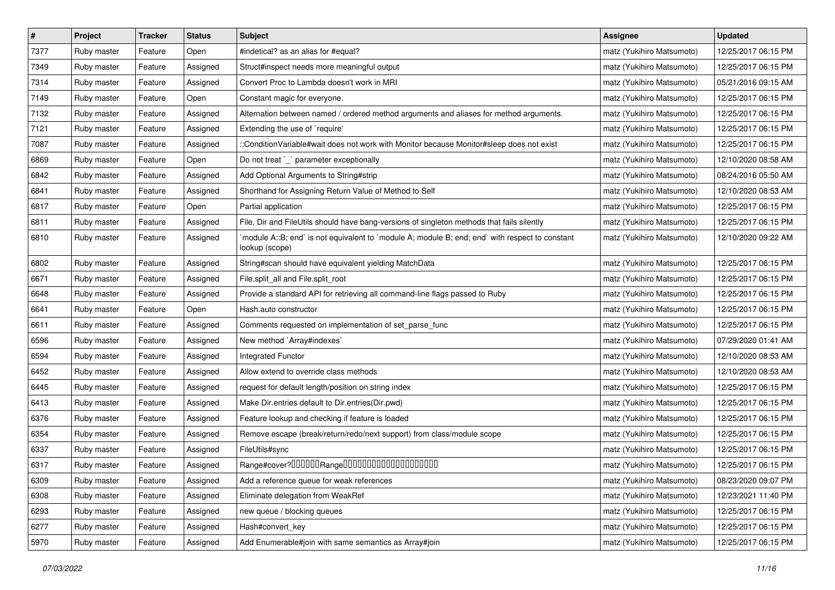| $\pmb{\#}$ | Project     | <b>Tracker</b> | <b>Status</b> | Subject                                                                                                          | <b>Assignee</b>           | <b>Updated</b>      |
|------------|-------------|----------------|---------------|------------------------------------------------------------------------------------------------------------------|---------------------------|---------------------|
| 7377       | Ruby master | Feature        | Open          | #indetical? as an alias for #equal?                                                                              | matz (Yukihiro Matsumoto) | 12/25/2017 06:15 PM |
| 7349       | Ruby master | Feature        | Assigned      | Struct#inspect needs more meaningful output                                                                      | matz (Yukihiro Matsumoto) | 12/25/2017 06:15 PM |
| 7314       | Ruby master | Feature        | Assigned      | Convert Proc to Lambda doesn't work in MRI                                                                       | matz (Yukihiro Matsumoto) | 05/21/2016 09:15 AM |
| 7149       | Ruby master | Feature        | Open          | Constant magic for everyone.                                                                                     | matz (Yukihiro Matsumoto) | 12/25/2017 06:15 PM |
| 7132       | Ruby master | Feature        | Assigned      | Alternation between named / ordered method arguments and aliases for method arguments.                           | matz (Yukihiro Matsumoto) | 12/25/2017 06:15 PM |
| 7121       | Ruby master | Feature        | Assigned      | Extending the use of `require'                                                                                   | matz (Yukihiro Matsumoto) | 12/25/2017 06:15 PM |
| 7087       | Ruby master | Feature        | Assigned      | ::ConditionVariable#wait does not work with Monitor because Monitor#sleep does not exist                         | matz (Yukihiro Matsumoto) | 12/25/2017 06:15 PM |
| 6869       | Ruby master | Feature        | Open          | Do not treat `_` parameter exceptionally                                                                         | matz (Yukihiro Matsumoto) | 12/10/2020 08:58 AM |
| 6842       | Ruby master | Feature        | Assigned      | Add Optional Arguments to String#strip                                                                           | matz (Yukihiro Matsumoto) | 08/24/2016 05:50 AM |
| 6841       | Ruby master | Feature        | Assigned      | Shorthand for Assigning Return Value of Method to Self                                                           | matz (Yukihiro Matsumoto) | 12/10/2020 08:53 AM |
| 6817       | Ruby master | Feature        | Open          | Partial application                                                                                              | matz (Yukihiro Matsumoto) | 12/25/2017 06:15 PM |
| 6811       | Ruby master | Feature        | Assigned      | File, Dir and FileUtils should have bang-versions of singleton methods that fails silently                       | matz (Yukihiro Matsumoto) | 12/25/2017 06:15 PM |
| 6810       | Ruby master | Feature        | Assigned      | module A::B; end` is not equivalent to `module A; module B; end; end` with respect to constant<br>lookup (scope) | matz (Yukihiro Matsumoto) | 12/10/2020 09:22 AM |
| 6802       | Ruby master | Feature        | Assigned      | String#scan should have equivalent yielding MatchData                                                            | matz (Yukihiro Matsumoto) | 12/25/2017 06:15 PM |
| 6671       | Ruby master | Feature        | Assigned      | File.split_all and File.split_root                                                                               | matz (Yukihiro Matsumoto) | 12/25/2017 06:15 PM |
| 6648       | Ruby master | Feature        | Assigned      | Provide a standard API for retrieving all command-line flags passed to Ruby                                      | matz (Yukihiro Matsumoto) | 12/25/2017 06:15 PM |
| 6641       | Ruby master | Feature        | Open          | Hash.auto constructor                                                                                            | matz (Yukihiro Matsumoto) | 12/25/2017 06:15 PM |
| 6611       | Ruby master | Feature        | Assigned      | Comments requested on implementation of set_parse_func                                                           | matz (Yukihiro Matsumoto) | 12/25/2017 06:15 PM |
| 6596       | Ruby master | Feature        | Assigned      | New method `Array#indexes`                                                                                       | matz (Yukihiro Matsumoto) | 07/29/2020 01:41 AM |
| 6594       | Ruby master | Feature        | Assigned      | Integrated Functor                                                                                               | matz (Yukihiro Matsumoto) | 12/10/2020 08:53 AM |
| 6452       | Ruby master | Feature        | Assigned      | Allow extend to override class methods                                                                           | matz (Yukihiro Matsumoto) | 12/10/2020 08:53 AM |
| 6445       | Ruby master | Feature        | Assigned      | request for default length/position on string index                                                              | matz (Yukihiro Matsumoto) | 12/25/2017 06:15 PM |
| 6413       | Ruby master | Feature        | Assigned      | Make Dir.entries default to Dir.entries(Dir.pwd)                                                                 | matz (Yukihiro Matsumoto) | 12/25/2017 06:15 PM |
| 6376       | Ruby master | Feature        | Assigned      | Feature lookup and checking if feature is loaded                                                                 | matz (Yukihiro Matsumoto) | 12/25/2017 06:15 PM |
| 6354       | Ruby master | Feature        | Assigned      | Remove escape (break/return/redo/next support) from class/module scope                                           | matz (Yukihiro Matsumoto) | 12/25/2017 06:15 PM |
| 6337       | Ruby master | Feature        | Assigned      | FileUtils#sync                                                                                                   | matz (Yukihiro Matsumoto) | 12/25/2017 06:15 PM |
| 6317       | Ruby master | Feature        | Assigned      | Range#cover?000000Range00000000000000000000                                                                      | matz (Yukihiro Matsumoto) | 12/25/2017 06:15 PM |
| 6309       | Ruby master | Feature        | Assigned      | Add a reference queue for weak references                                                                        | matz (Yukihiro Matsumoto) | 08/23/2020 09:07 PM |
| 6308       | Ruby master | Feature        | Assigned      | Eliminate delegation from WeakRef                                                                                | matz (Yukihiro Matsumoto) | 12/23/2021 11:40 PM |
| 6293       | Ruby master | Feature        | Assigned      | new queue / blocking queues                                                                                      | matz (Yukihiro Matsumoto) | 12/25/2017 06:15 PM |
| 6277       | Ruby master | Feature        | Assigned      | Hash#convert_key                                                                                                 | matz (Yukihiro Matsumoto) | 12/25/2017 06:15 PM |
| 5970       | Ruby master | Feature        | Assigned      | Add Enumerable#join with same semantics as Array#join                                                            | matz (Yukihiro Matsumoto) | 12/25/2017 06:15 PM |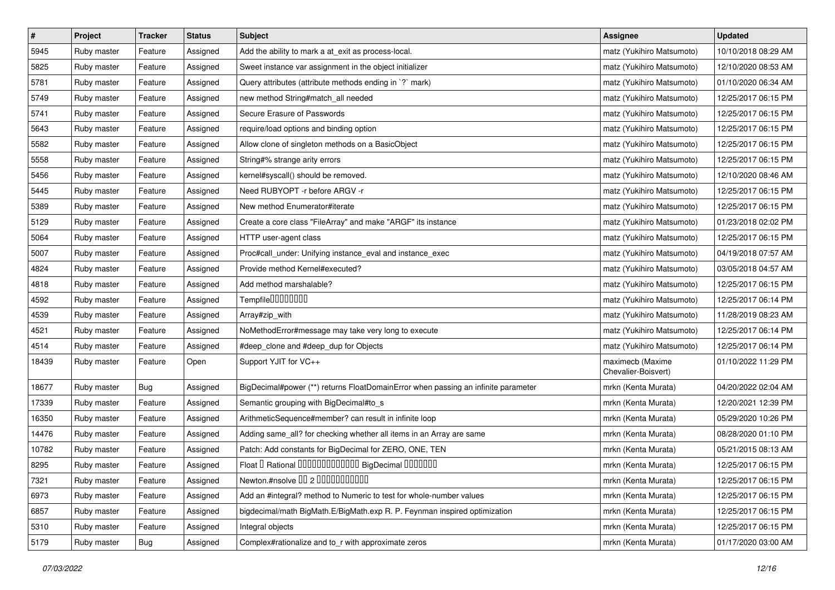| $\pmb{\#}$ | Project     | <b>Tracker</b> | <b>Status</b> | Subject                                                                           | <b>Assignee</b>                         | <b>Updated</b>      |
|------------|-------------|----------------|---------------|-----------------------------------------------------------------------------------|-----------------------------------------|---------------------|
| 5945       | Ruby master | Feature        | Assigned      | Add the ability to mark a at_exit as process-local.                               | matz (Yukihiro Matsumoto)               | 10/10/2018 08:29 AM |
| 5825       | Ruby master | Feature        | Assigned      | Sweet instance var assignment in the object initializer                           | matz (Yukihiro Matsumoto)               | 12/10/2020 08:53 AM |
| 5781       | Ruby master | Feature        | Assigned      | Query attributes (attribute methods ending in `?` mark)                           | matz (Yukihiro Matsumoto)               | 01/10/2020 06:34 AM |
| 5749       | Ruby master | Feature        | Assigned      | new method String#match_all needed                                                | matz (Yukihiro Matsumoto)               | 12/25/2017 06:15 PM |
| 5741       | Ruby master | Feature        | Assigned      | Secure Erasure of Passwords                                                       | matz (Yukihiro Matsumoto)               | 12/25/2017 06:15 PM |
| 5643       | Ruby master | Feature        | Assigned      | require/load options and binding option                                           | matz (Yukihiro Matsumoto)               | 12/25/2017 06:15 PM |
| 5582       | Ruby master | Feature        | Assigned      | Allow clone of singleton methods on a BasicObject                                 | matz (Yukihiro Matsumoto)               | 12/25/2017 06:15 PM |
| 5558       | Ruby master | Feature        | Assigned      | String#% strange arity errors                                                     | matz (Yukihiro Matsumoto)               | 12/25/2017 06:15 PM |
| 5456       | Ruby master | Feature        | Assigned      | kernel#syscall() should be removed.                                               | matz (Yukihiro Matsumoto)               | 12/10/2020 08:46 AM |
| 5445       | Ruby master | Feature        | Assigned      | Need RUBYOPT -r before ARGV -r                                                    | matz (Yukihiro Matsumoto)               | 12/25/2017 06:15 PM |
| 5389       | Ruby master | Feature        | Assigned      | New method Enumerator#iterate                                                     | matz (Yukihiro Matsumoto)               | 12/25/2017 06:15 PM |
| 5129       | Ruby master | Feature        | Assigned      | Create a core class "FileArray" and make "ARGF" its instance                      | matz (Yukihiro Matsumoto)               | 01/23/2018 02:02 PM |
| 5064       | Ruby master | Feature        | Assigned      | HTTP user-agent class                                                             | matz (Yukihiro Matsumoto)               | 12/25/2017 06:15 PM |
| 5007       | Ruby master | Feature        | Assigned      | Proc#call_under: Unifying instance_eval and instance_exec                         | matz (Yukihiro Matsumoto)               | 04/19/2018 07:57 AM |
| 4824       | Ruby master | Feature        | Assigned      | Provide method Kernel#executed?                                                   | matz (Yukihiro Matsumoto)               | 03/05/2018 04:57 AM |
| 4818       | Ruby master | Feature        | Assigned      | Add method marshalable?                                                           | matz (Yukihiro Matsumoto)               | 12/25/2017 06:15 PM |
| 4592       | Ruby master | Feature        | Assigned      | Tempfile00000000                                                                  | matz (Yukihiro Matsumoto)               | 12/25/2017 06:14 PM |
| 4539       | Ruby master | Feature        | Assigned      | Array#zip_with                                                                    | matz (Yukihiro Matsumoto)               | 11/28/2019 08:23 AM |
| 4521       | Ruby master | Feature        | Assigned      | NoMethodError#message may take very long to execute                               | matz (Yukihiro Matsumoto)               | 12/25/2017 06:14 PM |
| 4514       | Ruby master | Feature        | Assigned      | #deep_clone and #deep_dup for Objects                                             | matz (Yukihiro Matsumoto)               | 12/25/2017 06:14 PM |
| 18439      | Ruby master | Feature        | Open          | Support YJIT for VC++                                                             | maximecb (Maxime<br>Chevalier-Boisvert) | 01/10/2022 11:29 PM |
| 18677      | Ruby master | Bug            | Assigned      | BigDecimal#power (**) returns FloatDomainError when passing an infinite parameter | mrkn (Kenta Murata)                     | 04/20/2022 02:04 AM |
| 17339      | Ruby master | Feature        | Assigned      | Semantic grouping with BigDecimal#to_s                                            | mrkn (Kenta Murata)                     | 12/20/2021 12:39 PM |
| 16350      | Ruby master | Feature        | Assigned      | ArithmeticSequence#member? can result in infinite loop                            | mrkn (Kenta Murata)                     | 05/29/2020 10:26 PM |
| 14476      | Ruby master | Feature        | Assigned      | Adding same_all? for checking whether all items in an Array are same              | mrkn (Kenta Murata)                     | 08/28/2020 01:10 PM |
| 10782      | Ruby master | Feature        | Assigned      | Patch: Add constants for BigDecimal for ZERO, ONE, TEN                            | mrkn (Kenta Murata)                     | 05/21/2015 08:13 AM |
| 8295       | Ruby master | Feature        | Assigned      | Float I Rational IIIIIIIIIIIIIIIIIIII BigDecimal IIIIIIIIII                       | mrkn (Kenta Murata)                     | 12/25/2017 06:15 PM |
| 7321       | Ruby master | Feature        | Assigned      | Newton.#nsolve 00 2 0000000000                                                    | mrkn (Kenta Murata)                     | 12/25/2017 06:15 PM |
| 6973       | Ruby master | Feature        | Assigned      | Add an #integral? method to Numeric to test for whole-number values               | mrkn (Kenta Murata)                     | 12/25/2017 06:15 PM |
| 6857       | Ruby master | Feature        | Assigned      | bigdecimal/math BigMath.E/BigMath.exp R. P. Feynman inspired optimization         | mrkn (Kenta Murata)                     | 12/25/2017 06:15 PM |
| 5310       | Ruby master | Feature        | Assigned      | Integral objects                                                                  | mrkn (Kenta Murata)                     | 12/25/2017 06:15 PM |
| 5179       | Ruby master | Bug            | Assigned      | Complex#rationalize and to_r with approximate zeros                               | mrkn (Kenta Murata)                     | 01/17/2020 03:00 AM |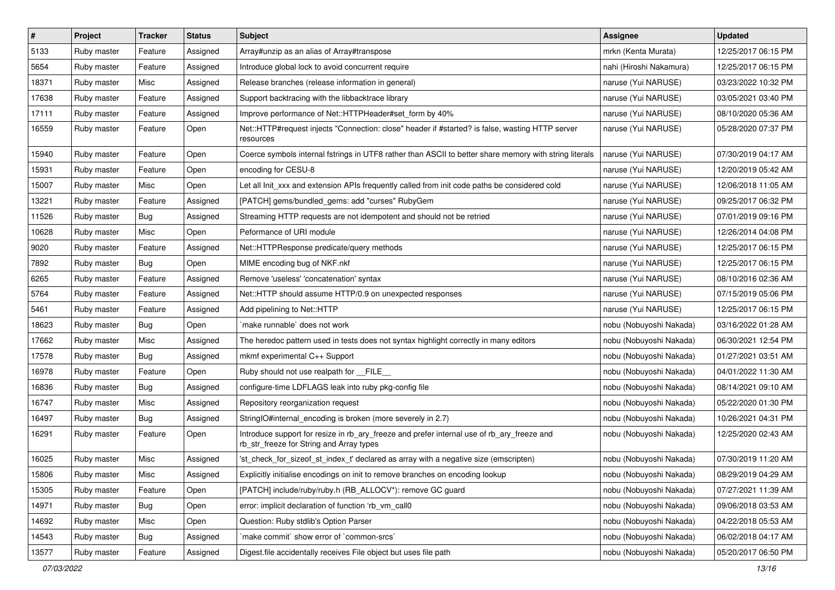| $\pmb{\#}$ | Project     | <b>Tracker</b> | <b>Status</b> | <b>Subject</b>                                                                                                                         | Assignee                | <b>Updated</b>      |
|------------|-------------|----------------|---------------|----------------------------------------------------------------------------------------------------------------------------------------|-------------------------|---------------------|
| 5133       | Ruby master | Feature        | Assigned      | Array#unzip as an alias of Array#transpose                                                                                             | mrkn (Kenta Murata)     | 12/25/2017 06:15 PM |
| 5654       | Ruby master | Feature        | Assigned      | Introduce global lock to avoid concurrent require                                                                                      | nahi (Hiroshi Nakamura) | 12/25/2017 06:15 PM |
| 18371      | Ruby master | Misc           | Assigned      | Release branches (release information in general)                                                                                      | naruse (Yui NARUSE)     | 03/23/2022 10:32 PM |
| 17638      | Ruby master | Feature        | Assigned      | Support backtracing with the libbacktrace library                                                                                      | naruse (Yui NARUSE)     | 03/05/2021 03:40 PM |
| 17111      | Ruby master | Feature        | Assigned      | Improve performance of Net::HTTPHeader#set_form by 40%                                                                                 | naruse (Yui NARUSE)     | 08/10/2020 05:36 AM |
| 16559      | Ruby master | Feature        | Open          | Net::HTTP#request injects "Connection: close" header if #started? is false, wasting HTTP server<br>resources                           | naruse (Yui NARUSE)     | 05/28/2020 07:37 PM |
| 15940      | Ruby master | Feature        | Open          | Coerce symbols internal fstrings in UTF8 rather than ASCII to better share memory with string literals                                 | naruse (Yui NARUSE)     | 07/30/2019 04:17 AM |
| 15931      | Ruby master | Feature        | Open          | encoding for CESU-8                                                                                                                    | naruse (Yui NARUSE)     | 12/20/2019 05:42 AM |
| 15007      | Ruby master | Misc           | Open          | Let all Init_xxx and extension APIs frequently called from init code paths be considered cold                                          | naruse (Yui NARUSE)     | 12/06/2018 11:05 AM |
| 13221      | Ruby master | Feature        | Assigned      | [PATCH] gems/bundled_gems: add "curses" RubyGem                                                                                        | naruse (Yui NARUSE)     | 09/25/2017 06:32 PM |
| 11526      | Ruby master | <b>Bug</b>     | Assigned      | Streaming HTTP requests are not idempotent and should not be retried                                                                   | naruse (Yui NARUSE)     | 07/01/2019 09:16 PM |
| 10628      | Ruby master | Misc           | Open          | Peformance of URI module                                                                                                               | naruse (Yui NARUSE)     | 12/26/2014 04:08 PM |
| 9020       | Ruby master | Feature        | Assigned      | Net::HTTPResponse predicate/query methods                                                                                              | naruse (Yui NARUSE)     | 12/25/2017 06:15 PM |
| 7892       | Ruby master | Bug            | Open          | MIME encoding bug of NKF.nkf                                                                                                           | naruse (Yui NARUSE)     | 12/25/2017 06:15 PM |
| 6265       | Ruby master | Feature        | Assigned      | Remove 'useless' 'concatenation' syntax                                                                                                | naruse (Yui NARUSE)     | 08/10/2016 02:36 AM |
| 5764       | Ruby master | Feature        | Assigned      | Net::HTTP should assume HTTP/0.9 on unexpected responses                                                                               | naruse (Yui NARUSE)     | 07/15/2019 05:06 PM |
| 5461       | Ruby master | Feature        | Assigned      | Add pipelining to Net::HTTP                                                                                                            | naruse (Yui NARUSE)     | 12/25/2017 06:15 PM |
| 18623      | Ruby master | <b>Bug</b>     | Open          | make runnable' does not work                                                                                                           | nobu (Nobuyoshi Nakada) | 03/16/2022 01:28 AM |
| 17662      | Ruby master | Misc           | Assigned      | The heredoc pattern used in tests does not syntax highlight correctly in many editors                                                  | nobu (Nobuyoshi Nakada) | 06/30/2021 12:54 PM |
| 17578      | Ruby master | Bug            | Assigned      | mkmf experimental C++ Support                                                                                                          | nobu (Nobuyoshi Nakada) | 01/27/2021 03:51 AM |
| 16978      | Ruby master | Feature        | Open          | Ruby should not use realpath for __FILE_                                                                                               | nobu (Nobuyoshi Nakada) | 04/01/2022 11:30 AM |
| 16836      | Ruby master | <b>Bug</b>     | Assigned      | configure-time LDFLAGS leak into ruby pkg-config file                                                                                  | nobu (Nobuyoshi Nakada) | 08/14/2021 09:10 AM |
| 16747      | Ruby master | Misc           | Assigned      | Repository reorganization request                                                                                                      | nobu (Nobuyoshi Nakada) | 05/22/2020 01:30 PM |
| 16497      | Ruby master | <b>Bug</b>     | Assigned      | StringIO#internal_encoding is broken (more severely in 2.7)                                                                            | nobu (Nobuyoshi Nakada) | 10/26/2021 04:31 PM |
| 16291      | Ruby master | Feature        | Open          | Introduce support for resize in rb_ary_freeze and prefer internal use of rb_ary_freeze and<br>rb_str_freeze for String and Array types | nobu (Nobuyoshi Nakada) | 12/25/2020 02:43 AM |
| 16025      | Ruby master | Misc           | Assigned      | 'st_check_for_sizeof_st_index_t' declared as array with a negative size (emscripten)                                                   | nobu (Nobuyoshi Nakada) | 07/30/2019 11:20 AM |
| 15806      | Ruby master | Misc           | Assigned      | Explicitly initialise encodings on init to remove branches on encoding lookup                                                          | nobu (Nobuyoshi Nakada) | 08/29/2019 04:29 AM |
| 15305      | Ruby master | Feature        | Open          | [PATCH] include/ruby/ruby.h (RB_ALLOCV*): remove GC guard                                                                              | nobu (Nobuyoshi Nakada) | 07/27/2021 11:39 AM |
| 14971      | Ruby master | Bug            | Open          | error: implicit declaration of function 'rb vm call0                                                                                   | nobu (Nobuyoshi Nakada) | 09/06/2018 03:53 AM |
| 14692      | Ruby master | Misc           | Open          | Question: Ruby stdlib's Option Parser                                                                                                  | nobu (Nobuyoshi Nakada) | 04/22/2018 05:53 AM |
| 14543      | Ruby master | Bug            | Assigned      | `make commit` show error of `common-srcs`                                                                                              | nobu (Nobuyoshi Nakada) | 06/02/2018 04:17 AM |
| 13577      | Ruby master | Feature        | Assigned      | Digest.file accidentally receives File object but uses file path                                                                       | nobu (Nobuyoshi Nakada) | 05/20/2017 06:50 PM |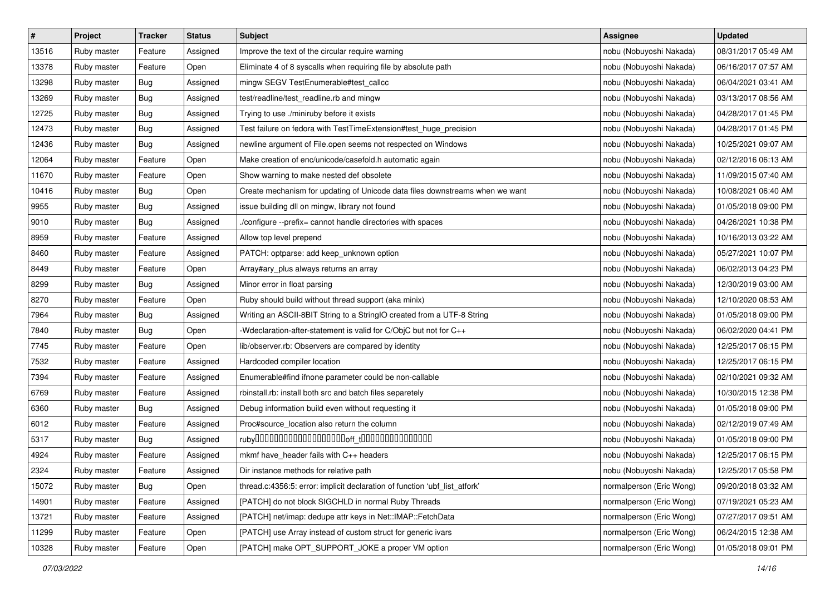| $\pmb{\#}$ | Project     | <b>Tracker</b> | <b>Status</b> | <b>Subject</b>                                                               | Assignee                 | <b>Updated</b>      |
|------------|-------------|----------------|---------------|------------------------------------------------------------------------------|--------------------------|---------------------|
| 13516      | Ruby master | Feature        | Assigned      | Improve the text of the circular require warning                             | nobu (Nobuyoshi Nakada)  | 08/31/2017 05:49 AM |
| 13378      | Ruby master | Feature        | Open          | Eliminate 4 of 8 syscalls when requiring file by absolute path               | nobu (Nobuyoshi Nakada)  | 06/16/2017 07:57 AM |
| 13298      | Ruby master | Bug            | Assigned      | mingw SEGV TestEnumerable#test_callcc                                        | nobu (Nobuyoshi Nakada)  | 06/04/2021 03:41 AM |
| 13269      | Ruby master | Bug            | Assigned      | test/readline/test_readline.rb and mingw                                     | nobu (Nobuyoshi Nakada)  | 03/13/2017 08:56 AM |
| 12725      | Ruby master | Bug            | Assigned      | Trying to use ./miniruby before it exists                                    | nobu (Nobuyoshi Nakada)  | 04/28/2017 01:45 PM |
| 12473      | Ruby master | <b>Bug</b>     | Assigned      | Test failure on fedora with TestTimeExtension#test_huge_precision            | nobu (Nobuyoshi Nakada)  | 04/28/2017 01:45 PM |
| 12436      | Ruby master | Bug            | Assigned      | newline argument of File.open seems not respected on Windows                 | nobu (Nobuyoshi Nakada)  | 10/25/2021 09:07 AM |
| 12064      | Ruby master | Feature        | Open          | Make creation of enc/unicode/casefold.h automatic again                      | nobu (Nobuyoshi Nakada)  | 02/12/2016 06:13 AM |
| 11670      | Ruby master | Feature        | Open          | Show warning to make nested def obsolete                                     | nobu (Nobuyoshi Nakada)  | 11/09/2015 07:40 AM |
| 10416      | Ruby master | Bug            | Open          | Create mechanism for updating of Unicode data files downstreams when we want | nobu (Nobuyoshi Nakada)  | 10/08/2021 06:40 AM |
| 9955       | Ruby master | <b>Bug</b>     | Assigned      | issue building dll on mingw, library not found                               | nobu (Nobuyoshi Nakada)  | 01/05/2018 09:00 PM |
| 9010       | Ruby master | Bug            | Assigned      | ./configure --prefix= cannot handle directories with spaces                  | nobu (Nobuyoshi Nakada)  | 04/26/2021 10:38 PM |
| 8959       | Ruby master | Feature        | Assigned      | Allow top level prepend                                                      | nobu (Nobuyoshi Nakada)  | 10/16/2013 03:22 AM |
| 8460       | Ruby master | Feature        | Assigned      | PATCH: optparse: add keep_unknown option                                     | nobu (Nobuyoshi Nakada)  | 05/27/2021 10:07 PM |
| 8449       | Ruby master | Feature        | Open          | Array#ary_plus always returns an array                                       | nobu (Nobuyoshi Nakada)  | 06/02/2013 04:23 PM |
| 8299       | Ruby master | Bug            | Assigned      | Minor error in float parsing                                                 | nobu (Nobuyoshi Nakada)  | 12/30/2019 03:00 AM |
| 8270       | Ruby master | Feature        | Open          | Ruby should build without thread support (aka minix)                         | nobu (Nobuyoshi Nakada)  | 12/10/2020 08:53 AM |
| 7964       | Ruby master | Bug            | Assigned      | Writing an ASCII-8BIT String to a StringIO created from a UTF-8 String       | nobu (Nobuyoshi Nakada)  | 01/05/2018 09:00 PM |
| 7840       | Ruby master | Bug            | Open          | -Wdeclaration-after-statement is valid for C/ObjC but not for C++            | nobu (Nobuyoshi Nakada)  | 06/02/2020 04:41 PM |
| 7745       | Ruby master | Feature        | Open          | lib/observer.rb: Observers are compared by identity                          | nobu (Nobuyoshi Nakada)  | 12/25/2017 06:15 PM |
| 7532       | Ruby master | Feature        | Assigned      | Hardcoded compiler location                                                  | nobu (Nobuyoshi Nakada)  | 12/25/2017 06:15 PM |
| 7394       | Ruby master | Feature        | Assigned      | Enumerable#find ifnone parameter could be non-callable                       | nobu (Nobuyoshi Nakada)  | 02/10/2021 09:32 AM |
| 6769       | Ruby master | Feature        | Assigned      | rbinstall.rb: install both src and batch files separetely                    | nobu (Nobuyoshi Nakada)  | 10/30/2015 12:38 PM |
| 6360       | Ruby master | <b>Bug</b>     | Assigned      | Debug information build even without requesting it                           | nobu (Nobuyoshi Nakada)  | 01/05/2018 09:00 PM |
| 6012       | Ruby master | Feature        | Assigned      | Proc#source_location also return the column                                  | nobu (Nobuyoshi Nakada)  | 02/12/2019 07:49 AM |
| 5317       | Ruby master | Bug            | Assigned      |                                                                              | nobu (Nobuyoshi Nakada)  | 01/05/2018 09:00 PM |
| 4924       | Ruby master | Feature        | Assigned      | mkmf have_header fails with C++ headers                                      | nobu (Nobuyoshi Nakada)  | 12/25/2017 06:15 PM |
| 2324       | Ruby master | Feature        | Assigned      | Dir instance methods for relative path                                       | nobu (Nobuyoshi Nakada)  | 12/25/2017 05:58 PM |
| 15072      | Ruby master | Bug            | Open          | thread.c:4356:5: error: implicit declaration of function 'ubf list atfork'   | normalperson (Eric Wong) | 09/20/2018 03:32 AM |
| 14901      | Ruby master | Feature        | Assigned      | [PATCH] do not block SIGCHLD in normal Ruby Threads                          | normalperson (Eric Wong) | 07/19/2021 05:23 AM |
| 13721      | Ruby master | Feature        | Assigned      | [PATCH] net/imap: dedupe attr keys in Net::IMAP::FetchData                   | normalperson (Eric Wong) | 07/27/2017 09:51 AM |
| 11299      | Ruby master | Feature        | Open          | [PATCH] use Array instead of custom struct for generic ivars                 | normalperson (Eric Wong) | 06/24/2015 12:38 AM |
| 10328      | Ruby master | Feature        | Open          | [PATCH] make OPT_SUPPORT_JOKE a proper VM option                             | normalperson (Eric Wong) | 01/05/2018 09:01 PM |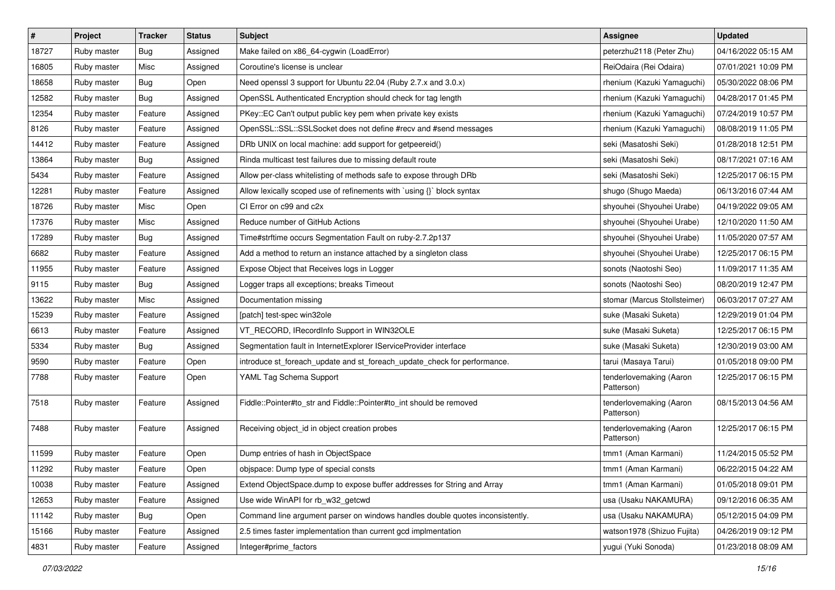| $\sharp$ | Project     | Tracker    | <b>Status</b> | <b>Subject</b>                                                                | <b>Assignee</b>                       | <b>Updated</b>      |
|----------|-------------|------------|---------------|-------------------------------------------------------------------------------|---------------------------------------|---------------------|
| 18727    | Ruby master | <b>Bug</b> | Assigned      | Make failed on x86_64-cygwin (LoadError)                                      | peterzhu2118 (Peter Zhu)              | 04/16/2022 05:15 AM |
| 16805    | Ruby master | Misc       | Assigned      | Coroutine's license is unclear                                                | ReiOdaira (Rei Odaira)                | 07/01/2021 10:09 PM |
| 18658    | Ruby master | Bug        | Open          | Need openssl 3 support for Ubuntu 22.04 (Ruby 2.7.x and 3.0.x)                | rhenium (Kazuki Yamaguchi)            | 05/30/2022 08:06 PM |
| 12582    | Ruby master | <b>Bug</b> | Assigned      | OpenSSL Authenticated Encryption should check for tag length                  | rhenium (Kazuki Yamaguchi)            | 04/28/2017 01:45 PM |
| 12354    | Ruby master | Feature    | Assigned      | PKey::EC Can't output public key pem when private key exists                  | rhenium (Kazuki Yamaguchi)            | 07/24/2019 10:57 PM |
| 8126     | Ruby master | Feature    | Assigned      | OpenSSL::SSL::SSLSocket does not define #recv and #send messages              | rhenium (Kazuki Yamaguchi)            | 08/08/2019 11:05 PM |
| 14412    | Ruby master | Feature    | Assigned      | DRb UNIX on local machine: add support for getpeereid()                       | seki (Masatoshi Seki)                 | 01/28/2018 12:51 PM |
| 13864    | Ruby master | <b>Bug</b> | Assigned      | Rinda multicast test failures due to missing default route                    | seki (Masatoshi Seki)                 | 08/17/2021 07:16 AM |
| 5434     | Ruby master | Feature    | Assigned      | Allow per-class whitelisting of methods safe to expose through DRb            | seki (Masatoshi Seki)                 | 12/25/2017 06:15 PM |
| 12281    | Ruby master | Feature    | Assigned      | Allow lexically scoped use of refinements with `using {}` block syntax        | shugo (Shugo Maeda)                   | 06/13/2016 07:44 AM |
| 18726    | Ruby master | Misc       | Open          | CI Error on c99 and c2x                                                       | shyouhei (Shyouhei Urabe)             | 04/19/2022 09:05 AM |
| 17376    | Ruby master | Misc       | Assigned      | Reduce number of GitHub Actions                                               | shyouhei (Shyouhei Urabe)             | 12/10/2020 11:50 AM |
| 17289    | Ruby master | <b>Bug</b> | Assigned      | Time#strftime occurs Segmentation Fault on ruby-2.7.2p137                     | shyouhei (Shyouhei Urabe)             | 11/05/2020 07:57 AM |
| 6682     | Ruby master | Feature    | Assigned      | Add a method to return an instance attached by a singleton class              | shyouhei (Shyouhei Urabe)             | 12/25/2017 06:15 PM |
| 11955    | Ruby master | Feature    | Assigned      | Expose Object that Receives logs in Logger                                    | sonots (Naotoshi Seo)                 | 11/09/2017 11:35 AM |
| 9115     | Ruby master | <b>Bug</b> | Assigned      | Logger traps all exceptions; breaks Timeout                                   | sonots (Naotoshi Seo)                 | 08/20/2019 12:47 PM |
| 13622    | Ruby master | Misc       | Assigned      | Documentation missing                                                         | stomar (Marcus Stollsteimer)          | 06/03/2017 07:27 AM |
| 15239    | Ruby master | Feature    | Assigned      | [patch] test-spec win32ole                                                    | suke (Masaki Suketa)                  | 12/29/2019 01:04 PM |
| 6613     | Ruby master | Feature    | Assigned      | VT_RECORD, IRecordInfo Support in WIN32OLE                                    | suke (Masaki Suketa)                  | 12/25/2017 06:15 PM |
| 5334     | Ruby master | <b>Bug</b> | Assigned      | Segmentation fault in InternetExplorer IServiceProvider interface             | suke (Masaki Suketa)                  | 12/30/2019 03:00 AM |
| 9590     | Ruby master | Feature    | Open          | introduce st_foreach_update and st_foreach_update_check for performance.      | tarui (Masaya Tarui)                  | 01/05/2018 09:00 PM |
| 7788     | Ruby master | Feature    | Open          | YAML Tag Schema Support                                                       | tenderlovemaking (Aaron<br>Patterson) | 12/25/2017 06:15 PM |
| 7518     | Ruby master | Feature    | Assigned      | Fiddle::Pointer#to_str and Fiddle::Pointer#to_int should be removed           | tenderlovemaking (Aaron<br>Patterson) | 08/15/2013 04:56 AM |
| 7488     | Ruby master | Feature    | Assigned      | Receiving object id in object creation probes                                 | tenderlovemaking (Aaron<br>Patterson) | 12/25/2017 06:15 PM |
| 11599    | Ruby master | Feature    | Open          | Dump entries of hash in ObjectSpace                                           | tmm1 (Aman Karmani)                   | 11/24/2015 05:52 PM |
| 11292    | Ruby master | Feature    | Open          | objspace: Dump type of special consts                                         | tmm1 (Aman Karmani)                   | 06/22/2015 04:22 AM |
| 10038    | Ruby master | Feature    | Assigned      | Extend ObjectSpace.dump to expose buffer addresses for String and Array       | tmm1 (Aman Karmani)                   | 01/05/2018 09:01 PM |
| 12653    | Ruby master | Feature    | Assigned      | Use wide WinAPI for rb_w32_getcwd                                             | usa (Usaku NAKAMURA)                  | 09/12/2016 06:35 AM |
| 11142    | Ruby master | Bug        | Open          | Command line argument parser on windows handles double quotes inconsistently. | usa (Usaku NAKAMURA)                  | 05/12/2015 04:09 PM |
| 15166    | Ruby master | Feature    | Assigned      | 2.5 times faster implementation than current gcd implmentation                | watson1978 (Shizuo Fujita)            | 04/26/2019 09:12 PM |
| 4831     | Ruby master | Feature    | Assigned      | Integer#prime_factors                                                         | yugui (Yuki Sonoda)                   | 01/23/2018 08:09 AM |